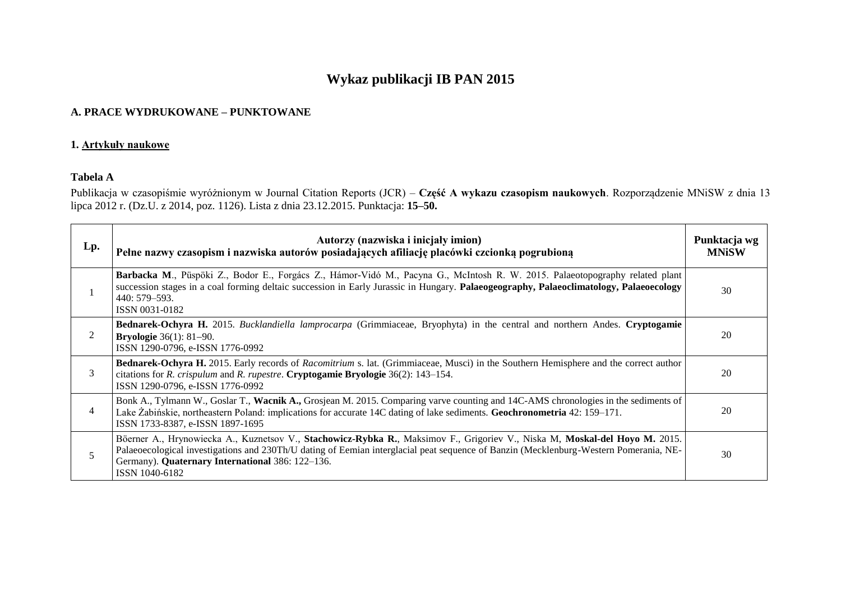# **Wykaz publikacji IB PAN 2015**

#### **A. PRACE WYDRUKOWANE – PUNKTOWANE**

#### **1. Artykuły naukowe**

## **Tabela A**

Publikacja w czasopiśmie wyróżnionym w Journal Citation Reports (JCR) – **Część A wykazu czasopism naukowych**. Rozporządzenie MNiSW z dnia 13 lipca 2012 r. (Dz.U. z 2014, poz. 1126). Lista z dnia 23.12.2015. Punktacja: **15–50.**

| Lp.            | Autorzy (nazwiska i inicjały imion)<br>Pełne nazwy czasopism i nazwiska autorów posiadających afiliację placówki czcionką pogrubioną                                                                                                                                                                                                       | Punktacja wg<br><b>MNiSW</b> |
|----------------|--------------------------------------------------------------------------------------------------------------------------------------------------------------------------------------------------------------------------------------------------------------------------------------------------------------------------------------------|------------------------------|
|                | Barbacka M., Püspöki Z., Bodor E., Forgács Z., Hámor-Vidó M., Pacyna G., McIntosh R. W. 2015. Palaeotopography related plant<br>succession stages in a coal forming deltaic succession in Early Jurassic in Hungary. Palaeogeography, Palaeoclimatology, Palaeoecology<br>440: 579–593.<br>ISSN 0031-0182                                  | 30                           |
| 2              | Bednarek-Ochyra H. 2015. Bucklandiella lamprocarpa (Grimmiaceae, Bryophyta) in the central and northern Andes. Cryptogamie<br><b>Bryologie</b> 36(1): 81-90.<br>ISSN 1290-0796, e-ISSN 1776-0992                                                                                                                                           | 20                           |
| 3              | Bednarek-Ochyra H. 2015. Early records of Racomitrium s. lat. (Grimmiaceae, Musci) in the Southern Hemisphere and the correct author<br>citations for <i>R. crispulum</i> and <i>R. rupestre</i> . <b>Cryptogamie Bryologie</b> 36(2): 143–154.<br>ISSN 1290-0796, e-ISSN 1776-0992                                                        | 20                           |
| $\overline{4}$ | Bonk A., Tylmann W., Goslar T., Wacnik A., Grosjean M. 2015. Comparing varve counting and 14C-AMS chronologies in the sediments of<br>Lake Żabińskie, northeastern Poland: implications for accurate 14C dating of lake sediments. Geochronometria 42: 159–171.<br>ISSN 1733-8387, e-ISSN 1897-1695                                        | 20                           |
| 5              | Böerner A., Hrynowiecka A., Kuznetsov V., Stachowicz-Rybka R., Maksimov F., Grigoriev V., Niska M, Moskal-del Hoyo M. 2015.<br>Palaeoecological investigations and 230Th/U dating of Eemian interglacial peat sequence of Banzin (Mecklenburg-Western Pomerania, NE-<br>Germany). Quaternary International 386: 122-136.<br>ISSN 1040-6182 | 30                           |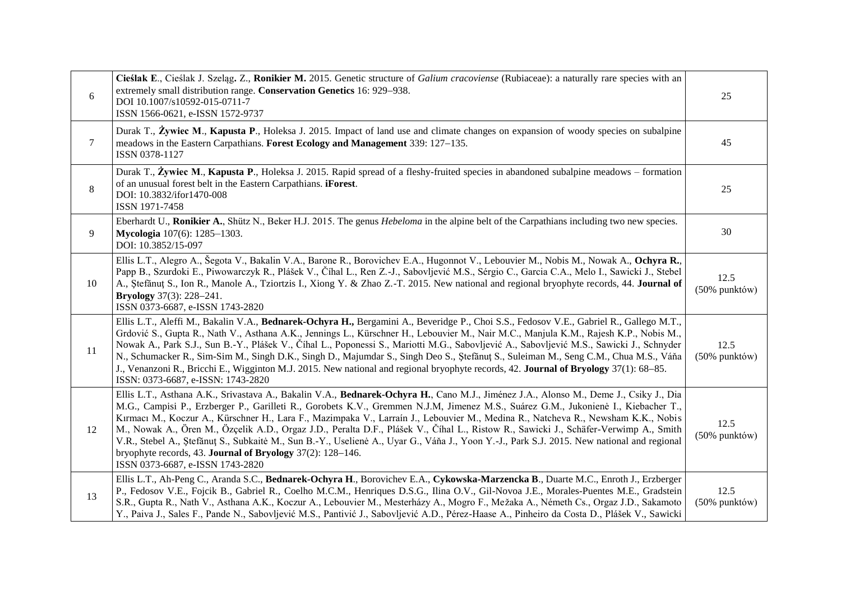| 6       | Cieślak E., Cieślak J. Szeląg, Z., Ronikier M. 2015. Genetic structure of Galium cracoviense (Rubiaceae): a naturally rare species with an<br>extremely small distribution range. Conservation Genetics 16: 929-938.<br>DOI 10.1007/s10592-015-0711-7<br>ISSN 1566-0621, e-ISSN 1572-9737                                                                                                                                                                                                                                                                                                                                                                                                                                                                                                                | 25                       |
|---------|----------------------------------------------------------------------------------------------------------------------------------------------------------------------------------------------------------------------------------------------------------------------------------------------------------------------------------------------------------------------------------------------------------------------------------------------------------------------------------------------------------------------------------------------------------------------------------------------------------------------------------------------------------------------------------------------------------------------------------------------------------------------------------------------------------|--------------------------|
| $\tau$  | Durak T., Zywiec M., Kapusta P., Holeksa J. 2015. Impact of land use and climate changes on expansion of woody species on subalpine<br>meadows in the Eastern Carpathians. Forest Ecology and Management 339: 127–135.<br>ISSN 0378-1127                                                                                                                                                                                                                                                                                                                                                                                                                                                                                                                                                                 | 45                       |
| $\,8\,$ | Durak T., Žywiec M., Kapusta P., Holeksa J. 2015. Rapid spread of a fleshy-fruited species in abandoned subalpine meadows – formation<br>of an unusual forest belt in the Eastern Carpathians. iForest.<br>DOI: 10.3832/ifor1470-008<br>ISSN 1971-7458                                                                                                                                                                                                                                                                                                                                                                                                                                                                                                                                                   | 25                       |
| 9       | Eberhardt U., Ronikier A., Shütz N., Beker H.J. 2015. The genus <i>Hebeloma</i> in the alpine belt of the Carpathians including two new species.<br>Mycologia 107(6): 1285-1303.<br>DOI: 10.3852/15-097                                                                                                                                                                                                                                                                                                                                                                                                                                                                                                                                                                                                  | 30                       |
| 10      | Ellis L.T., Alegro A., Šegota V., Bakalin V.A., Barone R., Borovichev E.A., Hugonnot V., Lebouvier M., Nobis M., Nowak A., Ochyra R.,<br>Papp B., Szurdoki E., Piwowarczyk R., Plášek V., Číhal L., Ren Z.-J., Sabovljević M.S., Sérgio C., Garcia C.A., Melo I., Sawicki J., Stebel<br>A., Stefănuț S., Ion R., Manole A., Tziortzis I., Xiong Y. & Zhao Z.-T. 2015. New national and regional bryophyte records, 44. Journal of<br><b>Bryology</b> 37(3): 228-241.<br>ISSN 0373-6687, e-ISSN 1743-2820                                                                                                                                                                                                                                                                                                 | 12.5<br>(50% punktów)    |
| 11      | Ellis L.T., Aleffi M., Bakalin V.A., Bednarek-Ochyra H., Bergamini A., Beveridge P., Choi S.S., Fedosov V.E., Gabriel R., Gallego M.T.,<br>Grdović S., Gupta R., Nath V., Asthana A.K., Jennings L., Kürschner H., Lebouvier M., Nair M.C., Manjula K.M., Rajesh K.P., Nobis M.,<br>Nowak A., Park S.J., Sun B.-Y., Plášek V., Číhal L., Poponessi S., Mariotti M.G., Sabovljević A., Sabovljević M.S., Sawicki J., Schnyder<br>N., Schumacker R., Sim-Sim M., Singh D.K., Singh D., Majumdar S., Singh Deo S., Ştefănuț S., Suleiman M., Seng C.M., Chua M.S., Váňa<br>J., Venanzoni R., Bricchi E., Wigginton M.J. 2015. New national and regional bryophyte records, 42. Journal of Bryology 37(1): 68–85.<br>ISSN: 0373-6687, e-ISSN: 1743-2820                                                      | 12.5<br>$(50\%$ punktów) |
| 12      | Ellis L.T., Asthana A.K., Srivastava A., Bakalin V.A., Bednarek-Ochyra H., Cano M.J., Jiménez J.A., Alonso M., Deme J., Csiky J., Dia<br>M.G., Campisi P., Erzberger P., Garilleti R., Gorobets K.V., Gremmen N.J.M, Jimenez M.S., Suárez G.M., Jukonienė I., Kiebacher T.,<br>Kırmacı M., Koczur A., Kürschner H., Lara F., Mazimpaka V., Larraín J., Lebouvier M., Medina R., Natcheva R., Newsham K.K., Nobis<br>M., Nowak A., Ören M., Özçelik A.D., Orgaz J.D., Peralta D.F., Plášek V., Číhal L., Ristow R., Sawicki J., Schäfer-Verwimp A., Smith<br>V.R., Stebel A., Ștefănuț S., Subkaitė M., Sun B.-Y., Uselienė A., Uyar G., Váňa J., Yoon Y.-J., Park S.J. 2015. New national and regional<br>bryophyte records, 43. Journal of Bryology 37(2): 128-146.<br>ISSN 0373-6687, e-ISSN 1743-2820 | 12.5<br>(50% punktów)    |
| 13      | Ellis L.T., Ah-Peng C., Aranda S.C., Bednarek-Ochyra H., Borovichev E.A., Cykowska-Marzencka B., Duarte M.C., Enroth J., Erzberger<br>P., Fedosov V.E., Fojcik B., Gabriel R., Coelho M.C.M., Henriques D.S.G., Ilina O.V., Gil-Novoa J.E., Morales-Puentes M.E., Gradstein<br>S.R., Gupta R., Nath V., Asthana A.K., Koczur A., Lebouvier M., Mesterházy A., Mogro F., Mežaka A., Németh Cs., Orgaz J.D., Sakamoto<br>Y., Paiva J., Sales F., Pande N., Sabovljević M.S., Pantivić J., Sabovljević A.D., Pérez-Haase A., Pinheiro da Costa D., Plášek V., Sawicki                                                                                                                                                                                                                                       | 12.5<br>$(50\%$ punktów) |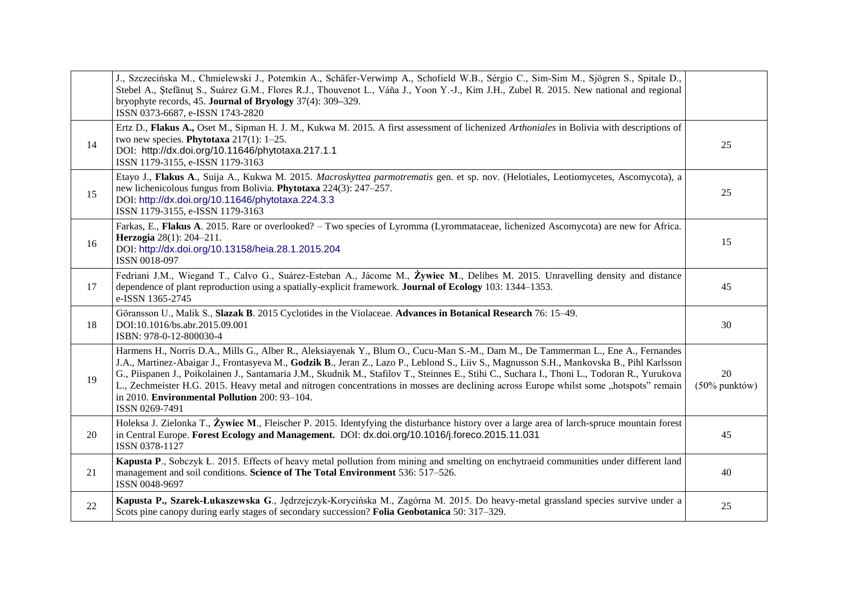|    | J., Szczecińska M., Chmielewski J., Potemkin A., Schäfer-Verwimp A., Schofield W.B., Sérgio C., Sim-Sim M., Sjögren S., Spitale D.,<br>Stebel A., Ștefănuț S., Suárez G.M., Flores R.J., Thouvenot L., Váňa J., Yoon Y.-J., Kim J.H., Zubel R. 2015. New national and regional<br>bryophyte records, 45. Journal of Bryology 37(4): 309-329.<br>ISSN 0373-6687, e-ISSN 1743-2820                                                                                                                                                                                                                                                             |                        |
|----|----------------------------------------------------------------------------------------------------------------------------------------------------------------------------------------------------------------------------------------------------------------------------------------------------------------------------------------------------------------------------------------------------------------------------------------------------------------------------------------------------------------------------------------------------------------------------------------------------------------------------------------------|------------------------|
| 14 | Ertz D., Flakus A., Oset M., Sipman H. J. M., Kukwa M. 2015. A first assessment of lichenized Arthoniales in Bolivia with descriptions of<br>two new species. Phytotaxa $217(1)$ : 1-25.<br>DOI: http://dx.doi.org/10.11646/phytotaxa.217.1.1<br>ISSN 1179-3155, e-ISSN 1179-3163                                                                                                                                                                                                                                                                                                                                                            | 25                     |
| 15 | Etayo J., Flakus A., Suija A., Kukwa M. 2015. Macroskyttea parmotrematis gen. et sp. nov. (Helotiales, Leotiomycetes, Ascomycota), a<br>new lichenicolous fungus from Bolivia. Phytotaxa 224(3): 247–257.<br>DOI: http://dx.doi.org/10.11646/phytotaxa.224.3.3<br>ISSN 1179-3155, e-ISSN 1179-3163                                                                                                                                                                                                                                                                                                                                           | 25                     |
| 16 | Farkas, E., Flakus A. 2015. Rare or overlooked? - Two species of Lyromma (Lyrommataceae, lichenized Ascomycota) are new for Africa.<br>Herzogia 28(1): 204-211.<br>DOI: http://dx.doi.org/10.13158/heia.28.1.2015.204<br>ISSN 0018-097                                                                                                                                                                                                                                                                                                                                                                                                       | 15                     |
| 17 | Fedriani J.M., Wiegand T., Calvo G., Suárez-Esteban A., Jácome M., Żywiec M., Delibes M. 2015. Unravelling density and distance<br>dependence of plant reproduction using a spatially-explicit framework. Journal of Ecology 103: 1344–1353.<br>e-ISSN 1365-2745                                                                                                                                                                                                                                                                                                                                                                             | 45                     |
| 18 | Göransson U., Malik S., Slazak B. 2015 Cyclotides in the Violaceae. Advances in Botanical Research 76: 15–49.<br>DOI:10.1016/bs.abr.2015.09.001<br>ISBN: 978-0-12-800030-4                                                                                                                                                                                                                                                                                                                                                                                                                                                                   | 30                     |
| 19 | Harmens H., Norris D.A., Mills G., Alber R., Aleksiayenak Y., Blum O., Cucu-Man S.-M., Dam M., De Tammerman L., Ene A., Fernandes<br>J.A., Martinez-Abaigar J., Frontasyeva M., Godzik B., Jeran Z., Lazo P., Leblond S., Liiv S., Magnusson S.H., Mankovska B., Pihl Karlsson<br>G., Piispanen J., Poikolainen J., Santamaria J.M., Skudnik M., Stafilov T., Steinnes E., Stihi C., Suchara I., Thoni L., Todoran R., Yurukova<br>L., Zechmeister H.G. 2015. Heavy metal and nitrogen concentrations in mosses are declining across Europe whilst some "hotspots" remain<br>in 2010. Environmental Pollution 200: 93-104.<br>ISSN 0269-7491 | 20<br>$(50\%$ punktów) |
| 20 | Holeksa J. Zielonka T., Żywiec M., Fleischer P. 2015. Identyfying the disturbance history over a large area of larch-spruce mountain forest<br>in Central Europe. Forest Ecology and Management. DOI: dx.doi.org/10.1016/j.foreco.2015.11.031<br>ISSN 0378-1127                                                                                                                                                                                                                                                                                                                                                                              | 45                     |
| 21 | Kapusta P., Sobczyk Ł. 2015. Effects of heavy metal pollution from mining and smelting on enchytraeid communities under different land<br>management and soil conditions. Science of The Total Environment 536: 517-526.<br>ISSN 0048-9697                                                                                                                                                                                                                                                                                                                                                                                                   | 40                     |
| 22 | Kapusta P., Szarek-Łukaszewska G., Jędrzejczyk-Korycińska M., Zagórna M. 2015. Do heavy-metal grassland species survive under a<br>Scots pine can opy during early stages of secondary succession? Folia Geobotanica 50: 317–329.                                                                                                                                                                                                                                                                                                                                                                                                            | 25                     |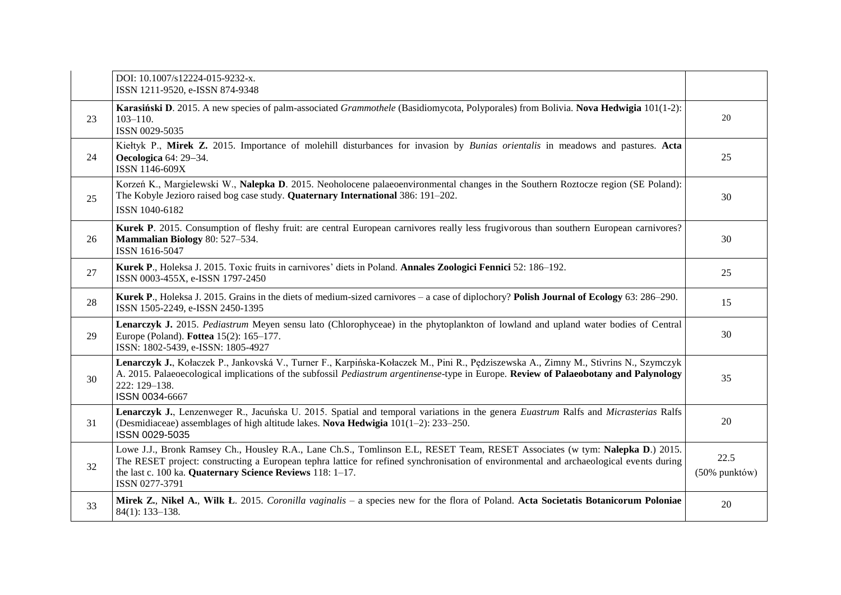|    | DOI: 10.1007/s12224-015-9232-x.<br>ISSN 1211-9520, e-ISSN 874-9348                                                                                                                                                                                                                                                                                     |                       |
|----|--------------------------------------------------------------------------------------------------------------------------------------------------------------------------------------------------------------------------------------------------------------------------------------------------------------------------------------------------------|-----------------------|
| 23 | Karasiński D. 2015. A new species of palm-associated Grammothele (Basidiomycota, Polyporales) from Bolivia. Nova Hedwigia 101(1-2):<br>$103 - 110.$<br>ISSN 0029-5035                                                                                                                                                                                  | 20                    |
| 24 | Kiełtyk P., Mirek Z. 2015. Importance of molehill disturbances for invasion by Bunias orientalis in meadows and pastures. Acta<br>Oecologica 64: 29-34.<br>ISSN 1146-609X                                                                                                                                                                              | 25                    |
| 25 | Korzeń K., Margielewski W., Nalepka D. 2015. Neoholocene palaeoenvironmental changes in the Southern Roztocze region (SE Poland):<br>The Kobyle Jezioro raised bog case study. Quaternary International 386: 191-202.<br>ISSN 1040-6182                                                                                                                | 30                    |
| 26 | Kurek P. 2015. Consumption of fleshy fruit: are central European carnivores really less frugivorous than southern European carnivores?<br>Mammalian Biology 80: 527-534.<br>ISSN 1616-5047                                                                                                                                                             | 30                    |
| 27 | Kurek P., Holeksa J. 2015. Toxic fruits in carnivores' diets in Poland. Annales Zoologici Fennici 52: 186–192.<br>ISSN 0003-455X, e-ISSN 1797-2450                                                                                                                                                                                                     | 25                    |
| 28 | Kurek P., Holeksa J. 2015. Grains in the diets of medium-sized carnivores – a case of diplochory? Polish Journal of Ecology 63: 286–290.<br>ISSN 1505-2249, e-ISSN 2450-1395                                                                                                                                                                           | 15                    |
| 29 | Lenarczyk J. 2015. Pediastrum Meyen sensu lato (Chlorophyceae) in the phytoplankton of lowland and upland water bodies of Central<br>Europe (Poland). Fottea 15(2): 165-177.<br>ISSN: 1802-5439, e-ISSN: 1805-4927                                                                                                                                     | 30                    |
| 30 | Lenarczyk J., Kołaczek P., Jankovská V., Turner F., Karpińska-Kołaczek M., Pini R., Pędziszewska A., Zimny M., Stivrins N., Szymczyk<br>A. 2015. Palaeoecological implications of the subfossil Pediastrum argentinense-type in Europe. Review of Palaeobotany and Palynology<br>222: 129-138.<br>ISSN 0034-6667                                       | 35                    |
| 31 | Lenarczyk J., Lenzenweger R., Jacuńska U. 2015. Spatial and temporal variations in the genera Euastrum Ralfs and Micrasterias Ralfs<br>(Desmidiaceae) assemblages of high altitude lakes. Nova Hedwigia 101(1-2): 233-250.<br>ISSN 0029-5035                                                                                                           | 20                    |
| 32 | Lowe J.J., Bronk Ramsey Ch., Housley R.A., Lane Ch.S., Tomlinson E.L, RESET Team, RESET Associates (w tym: Nalepka D.) 2015.<br>The RESET project: constructing a European tephra lattice for refined synchronisation of environmental and archaeological events during<br>the last c. 100 ka. Quaternary Science Reviews 118: 1-17.<br>ISSN 0277-3791 | 22.5<br>(50% punktów) |
| 33 | Mirek Z., Nikel A., Wilk Ł. 2015. Coronilla vaginalis – a species new for the flora of Poland. Acta Societatis Botanicorum Poloniae<br>$84(1): 133-138.$                                                                                                                                                                                               | 20                    |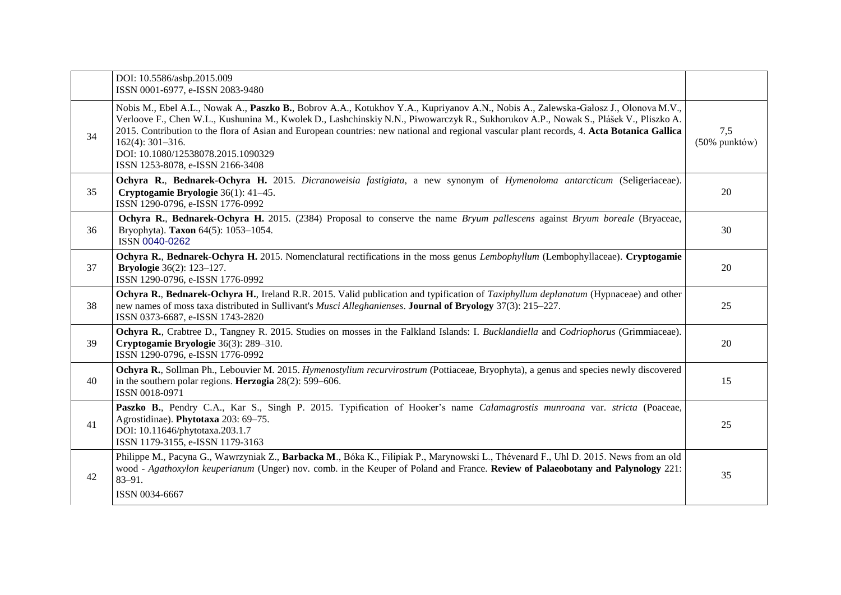|    | DOI: 10.5586/asbp.2015.009<br>ISSN 0001-6977, e-ISSN 2083-9480                                                                                                                                                                                                                                                                                                                                                                                                                                                             |                      |
|----|----------------------------------------------------------------------------------------------------------------------------------------------------------------------------------------------------------------------------------------------------------------------------------------------------------------------------------------------------------------------------------------------------------------------------------------------------------------------------------------------------------------------------|----------------------|
| 34 | Nobis M., Ebel A.L., Nowak A., Paszko B., Bobrov A.A., Kotukhov Y.A., Kupriyanov A.N., Nobis A., Zalewska-Gałosz J., Olonova M.V.,<br>Verloove F., Chen W.L., Kushunina M., Kwolek D., Lashchinskiy N.N., Piwowarczyk R., Sukhorukov A.P., Nowak S., Plášek V., Pliszko A.<br>2015. Contribution to the flora of Asian and European countries: new national and regional vascular plant records, 4. Acta Botanica Gallica<br>$162(4)$ : 301-316.<br>DOI: 10.1080/12538078.2015.1090329<br>ISSN 1253-8078, e-ISSN 2166-3408 | 7,5<br>(50% punktów) |
| 35 | Ochyra R., Bednarek-Ochyra H. 2015. Dicranoweisia fastigiata, a new synonym of Hymenoloma antarcticum (Seligeriaceae).<br>Cryptogamie Bryologie 36(1): 41-45.<br>ISSN 1290-0796, e-ISSN 1776-0992                                                                                                                                                                                                                                                                                                                          | 20                   |
| 36 | Ochyra R., Bednarek-Ochyra H. 2015. (2384) Proposal to conserve the name Bryum pallescens against Bryum boreale (Bryaceae,<br>Bryophyta). Taxon 64(5): 1053-1054.<br>ISSN 0040-0262                                                                                                                                                                                                                                                                                                                                        | 30                   |
| 37 | Ochyra R., Bednarek-Ochyra H. 2015. Nomenclatural rectifications in the moss genus Lembophyllum (Lembophyllaceae). Cryptogamie<br><b>Bryologie</b> 36(2): 123-127.<br>ISSN 1290-0796, e-ISSN 1776-0992                                                                                                                                                                                                                                                                                                                     | 20                   |
| 38 | Ochyra R., Bednarek-Ochyra H., Ireland R.R. 2015. Valid publication and typification of Taxiphyllum deplanatum (Hypnaceae) and other<br>new names of moss taxa distributed in Sullivant's Musci Alleghanienses. Journal of Bryology 37(3): 215-227.<br>ISSN 0373-6687, e-ISSN 1743-2820                                                                                                                                                                                                                                    | 25                   |
| 39 | Ochyra R., Crabtree D., Tangney R. 2015. Studies on mosses in the Falkland Islands: I. Bucklandiella and Codriophorus (Grimmiaceae).<br>Cryptogamie Bryologie 36(3): 289-310.<br>ISSN 1290-0796, e-ISSN 1776-0992                                                                                                                                                                                                                                                                                                          | 20                   |
| 40 | Ochyra R., Sollman Ph., Lebouvier M. 2015. Hymenostylium recurvirostrum (Pottiaceae, Bryophyta), a genus and species newly discovered<br>in the southern polar regions. <b>Herzogia</b> $28(2)$ : 599–606.<br>ISSN 0018-0971                                                                                                                                                                                                                                                                                               | 15                   |
| 41 | Paszko B., Pendry C.A., Kar S., Singh P. 2015. Typification of Hooker's name Calamagrostis munroana var. stricta (Poaceae,<br>Agrostidinae). Phytotaxa 203: 69-75.<br>DOI: 10.11646/phytotaxa.203.1.7<br>ISSN 1179-3155, e-ISSN 1179-3163                                                                                                                                                                                                                                                                                  | 25                   |
| 42 | Philippe M., Pacyna G., Wawrzyniak Z., Barbacka M., Bóka K., Filipiak P., Marynowski L., Thévenard F., Uhl D. 2015. News from an old<br>wood - Agathoxylon keuperianum (Unger) nov. comb. in the Keuper of Poland and France. Review of Palaeobotany and Palynology 221:<br>$83 - 91.$<br>ISSN 0034-6667                                                                                                                                                                                                                   | 35                   |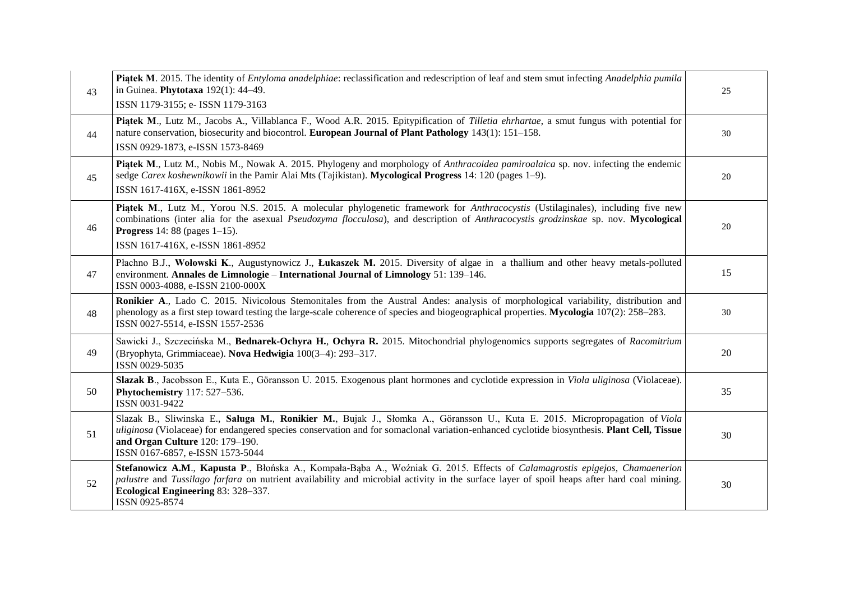| 43 | Piatek M. 2015. The identity of <i>Entyloma anadelphiae</i> : reclassification and redescription of leaf and stem smut infecting <i>Anadelphia pumila</i><br>in Guinea. Phytotaxa 192(1): 44-49.<br>ISSN 1179-3155; e- ISSN 1179-3163                                                                                                                      | 25 |
|----|------------------------------------------------------------------------------------------------------------------------------------------------------------------------------------------------------------------------------------------------------------------------------------------------------------------------------------------------------------|----|
| 44 | Piątek M., Lutz M., Jacobs A., Villablanca F., Wood A.R. 2015. Epitypification of Tilletia ehrhartae, a smut fungus with potential for<br>nature conservation, biosecurity and biocontrol. European Journal of Plant Pathology 143(1): 151–158.<br>ISSN 0929-1873, e-ISSN 1573-8469                                                                        | 30 |
| 45 | Piatek M., Lutz M., Nobis M., Nowak A. 2015. Phylogeny and morphology of <i>Anthracoidea pamiroalaica</i> sp. nov. infecting the endemic<br>sedge Carex koshewnikowii in the Pamir Alai Mts (Tajikistan). Mycological Progress 14: 120 (pages 1–9).<br>ISSN 1617-416X, e-ISSN 1861-8952                                                                    | 20 |
| 46 | Piatek M., Lutz M., Yorou N.S. 2015. A molecular phylogenetic framework for <i>Anthracocystis</i> (Ustilaginales), including five new<br>combinations (inter alia for the asexual Pseudozyma flocculosa), and description of Anthracocystis grodzinskae sp. nov. Mycological<br><b>Progress</b> 14:88 (pages $1-15$ ).<br>ISSN 1617-416X, e-ISSN 1861-8952 | 20 |
| 47 | Płachno B.J., Wołowski K., Augustynowicz J., Łukaszek M. 2015. Diversity of algae in a thallium and other heavy metals-polluted<br>environment. Annales de Limnologie - International Journal of Limnology 51: 139-146.<br>ISSN 0003-4088, e-ISSN 2100-000X                                                                                                | 15 |
| 48 | Ronikier A., Lado C. 2015. Nivicolous Stemonitales from the Austral Andes: analysis of morphological variability, distribution and<br>phenology as a first step toward testing the large-scale coherence of species and biogeographical properties. Mycologia 107(2): 258–283.<br>ISSN 0027-5514, e-ISSN 1557-2536                                         | 30 |
| 49 | Sawicki J., Szczecińska M., Bednarek-Ochyra H., Ochyra R. 2015. Mitochondrial phylogenomics supports segregates of Racomitrium<br>(Bryophyta, Grimmiaceae). Nova Hedwigia 100(3-4): 293-317.<br>ISSN 0029-5035                                                                                                                                             | 20 |
| 50 | Slazak B., Jacobsson E., Kuta E., Göransson U. 2015. Exogenous plant hormones and cyclotide expression in Viola uliginosa (Violaceae).<br>Phytochemistry 117: 527-536.<br>ISSN 0031-9422                                                                                                                                                                   | 35 |
| 51 | Slazak B., Sliwinska E., Saluga M., Ronikier M., Bujak J., Słomka A., Göransson U., Kuta E. 2015. Micropropagation of Viola<br>uliginosa (Violaceae) for endangered species conservation and for somaclonal variation-enhanced cyclotide biosynthesis. Plant Cell, Tissue<br>and Organ Culture 120: 179-190.<br>ISSN 0167-6857, e-ISSN 1573-5044           | 30 |
| 52 | Stefanowicz A.M., Kapusta P., Błońska A., Kompała-Bąba A., Woźniak G. 2015. Effects of Calamagrostis epigejos, Chamaenerion<br>palustre and Tussilago farfara on nutrient availability and microbial activity in the surface layer of spoil heaps after hard coal mining.<br>Ecological Engineering 83: 328-337.<br>ISSN 0925-8574                         | 30 |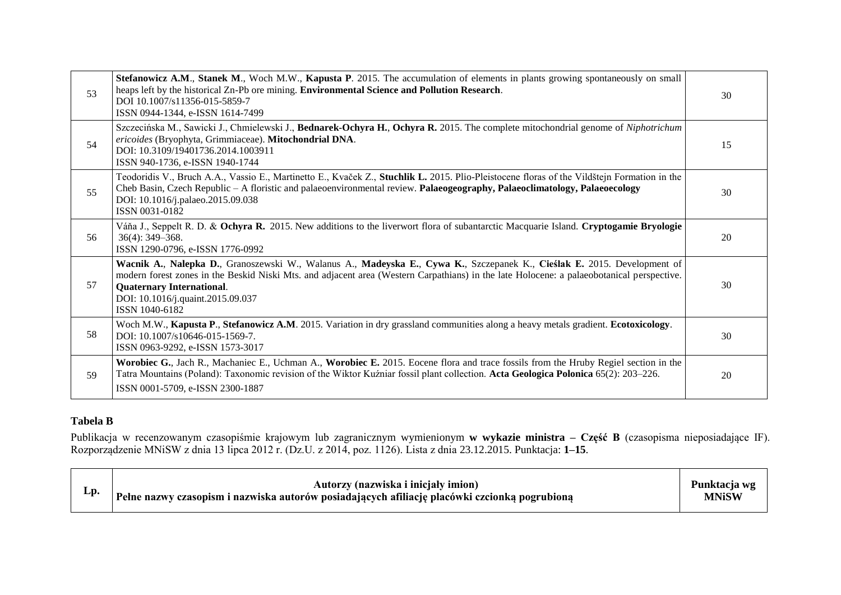| 53 | Stefanowicz A.M., Stanek M., Woch M.W., Kapusta P. 2015. The accumulation of elements in plants growing spontaneously on small<br>heaps left by the historical Zn-Pb ore mining. Environmental Science and Pollution Research.<br>DOI 10.1007/s11356-015-5859-7<br>ISSN 0944-1344, e-ISSN 1614-7499                                                              | 30 |
|----|------------------------------------------------------------------------------------------------------------------------------------------------------------------------------------------------------------------------------------------------------------------------------------------------------------------------------------------------------------------|----|
| 54 | Szczecińska M., Sawicki J., Chmielewski J., Bednarek-Ochyra H., Ochyra R. 2015. The complete mitochondrial genome of Niphotrichum<br>ericoides (Bryophyta, Grimmiaceae). Mitochondrial DNA.<br>DOI: 10.3109/19401736.2014.1003911<br>ISSN 940-1736, e-ISSN 1940-1744                                                                                             | 15 |
| 55 | Teodoridis V., Bruch A.A., Vassio E., Martinetto E., Kvaček Z., Stuchlik L. 2015. Plio-Pleistocene floras of the Vildštejn Formation in the<br>Cheb Basin, Czech Republic – A floristic and palaeoenvironmental review. Palaeogeography, Palaeoclimatology, Palaeoecology<br>DOI: 10.1016/j.palaeo.2015.09.038<br>ISSN 0031-0182                                 | 30 |
| 56 | Váňa J., Seppelt R. D. & Ochyra R. 2015. New additions to the liverwort flora of subantarctic Macquarie Island. Cryptogamie Bryologie<br>$36(4)$ : 349-368.<br>ISSN 1290-0796, e-ISSN 1776-0992                                                                                                                                                                  | 20 |
| 57 | Wacnik A., Nalepka D., Granoszewski W., Walanus A., Madeyska E., Cywa K., Szczepanek K., Cieślak E. 2015. Development of<br>modern forest zones in the Beskid Niski Mts. and adjacent area (Western Carpathians) in the late Holocene: a palaeobotanical perspective.<br><b>Quaternary International.</b><br>DOI: 10.1016/j.quaint.2015.09.037<br>ISSN 1040-6182 | 30 |
| 58 | Woch M.W., Kapusta P., Stefanowicz A.M. 2015. Variation in dry grassland communities along a heavy metals gradient. Ecotoxicology.<br>DOI: 10.1007/s10646-015-1569-7.<br>ISSN 0963-9292, e-ISSN 1573-3017                                                                                                                                                        | 30 |
| 59 | Worobiec G., Jach R., Machaniec E., Uchman A., Worobiec E. 2015. Eocene flora and trace fossils from the Hruby Regiel section in the<br>Tatra Mountains (Poland): Taxonomic revision of the Wiktor Kuźniar fossil plant collection. Acta Geologica Polonica 65(2): 203–226.<br>ISSN 0001-5709, e-ISSN 2300-1887                                                  | 20 |

## **Tabela B**

Publikacja w recenzowanym czasopiśmie krajowym lub zagranicznym wymienionym **w wykazie ministra – Część B** (czasopisma nieposiadające IF). Rozporządzenie MNiSW z dnia 13 lipca 2012 r. (Dz.U. z 2014, poz. 1126). Lista z dnia 23.12.2015. Punktacja: **1–15**.

| Lp. | Autorzy (nazwiska i inicjały imion)                                                           | Punktacia wg |
|-----|-----------------------------------------------------------------------------------------------|--------------|
|     | Pełne nazwy czasopism i nazwiska autorów posiadających afiliację placówki czcionką pogrubioną | MNiSW        |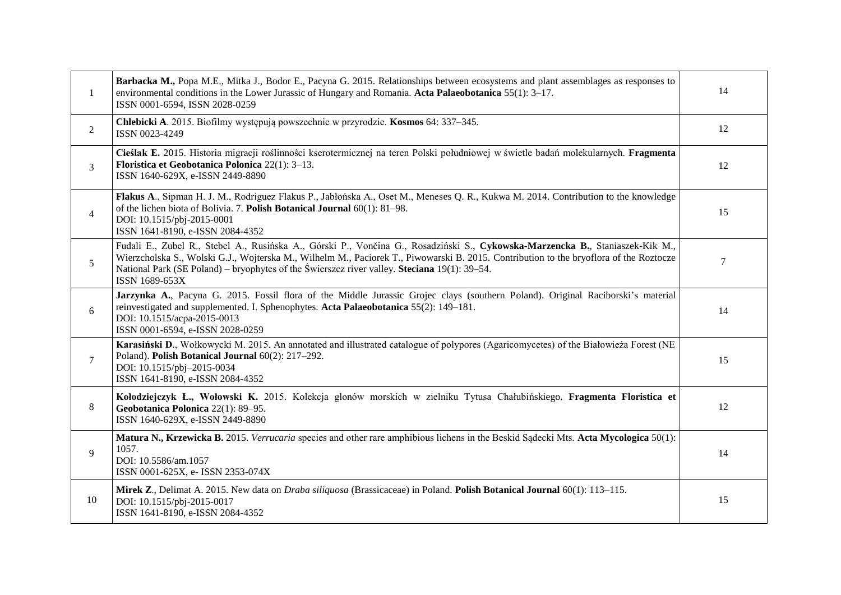| 1              | Barbacka M., Popa M.E., Mitka J., Bodor E., Pacyna G. 2015. Relationships between ecosystems and plant assemblages as responses to<br>environmental conditions in the Lower Jurassic of Hungary and Romania. Acta Palaeobotanica $55(1)$ : 3-17.<br>ISSN 0001-6594, ISSN 2028-0259                                                                                                        | 14     |
|----------------|-------------------------------------------------------------------------------------------------------------------------------------------------------------------------------------------------------------------------------------------------------------------------------------------------------------------------------------------------------------------------------------------|--------|
| $\overline{2}$ | Chlebicki A. 2015. Biofilmy występują powszechnie w przyrodzie. Kosmos 64: 337-345.<br>ISSN 0023-4249                                                                                                                                                                                                                                                                                     | 12     |
| 3              | Cieślak E. 2015. Historia migracji roślinności kserotermicznej na teren Polski południowej w świetle badań molekularnych. Fragmenta<br>Floristica et Geobotanica Polonica 22(1): 3-13.<br>ISSN 1640-629X, e-ISSN 2449-8890                                                                                                                                                                | 12     |
| $\overline{4}$ | Flakus A., Sipman H. J. M., Rodriguez Flakus P., Jabłońska A., Oset M., Meneses Q. R., Kukwa M. 2014. Contribution to the knowledge<br>of the lichen biota of Bolivia. 7. Polish Botanical Journal 60(1): 81-98.<br>DOI: 10.1515/pbj-2015-0001<br>ISSN 1641-8190, e-ISSN 2084-4352                                                                                                        | 15     |
| 5              | Fudali E., Zubel R., Stebel A., Rusińska A., Górski P., Vončina G., Rosadziński S., Cykowska-Marzencka B., Staniaszek-Kik M.,<br>Wierzcholska S., Wolski G.J., Wojterska M., Wilhelm M., Paciorek T., Piwowarski B. 2015. Contribution to the bryoflora of the Roztocze<br>National Park (SE Poland) – bryophytes of the Świerszcz river valley. Steciana 19(1): 39–54.<br>ISSN 1689-653X | $\tau$ |
| 6              | Jarzynka A., Pacyna G. 2015. Fossil flora of the Middle Jurassic Grojec clays (southern Poland). Original Raciborski's material<br>reinvestigated and supplemented. I. Sphenophytes. Acta Palaeobotanica 55(2): 149–181.<br>DOI: 10.1515/acpa-2015-0013<br>ISSN 0001-6594, e-ISSN 2028-0259                                                                                               | 14     |
| $\tau$         | Karasiński D., Wołkowycki M. 2015. An annotated and illustrated catalogue of polypores (Agaricomycetes) of the Białowieża Forest (NE<br>Poland). Polish Botanical Journal 60(2): 217-292.<br>DOI: 10.1515/pbj-2015-0034<br>ISSN 1641-8190, e-ISSN 2084-4352                                                                                                                               | 15     |
| 8              | Kołodziejczyk Ł., Wołowski K. 2015. Kolekcja glonów morskich w zielniku Tytusa Chałubińskiego. Fragmenta Floristica et<br>Geobotanica Polonica 22(1): 89-95.<br>ISSN 1640-629X, e-ISSN 2449-8890                                                                                                                                                                                          | 12     |
| 9              | Matura N., Krzewicka B. 2015. Verrucaria species and other rare amphibious lichens in the Beskid Sadecki Mts. Acta Mycologica 50(1):<br>1057.<br>DOI: 10.5586/am.1057<br>ISSN 0001-625X, e- ISSN 2353-074X                                                                                                                                                                                | 14     |
| 10             | Mirek Z., Delimat A. 2015. New data on Draba siliquosa (Brassicaceae) in Poland. Polish Botanical Journal 60(1): 113-115.<br>DOI: 10.1515/pbj-2015-0017<br>ISSN 1641-8190, e-ISSN 2084-4352                                                                                                                                                                                               | 15     |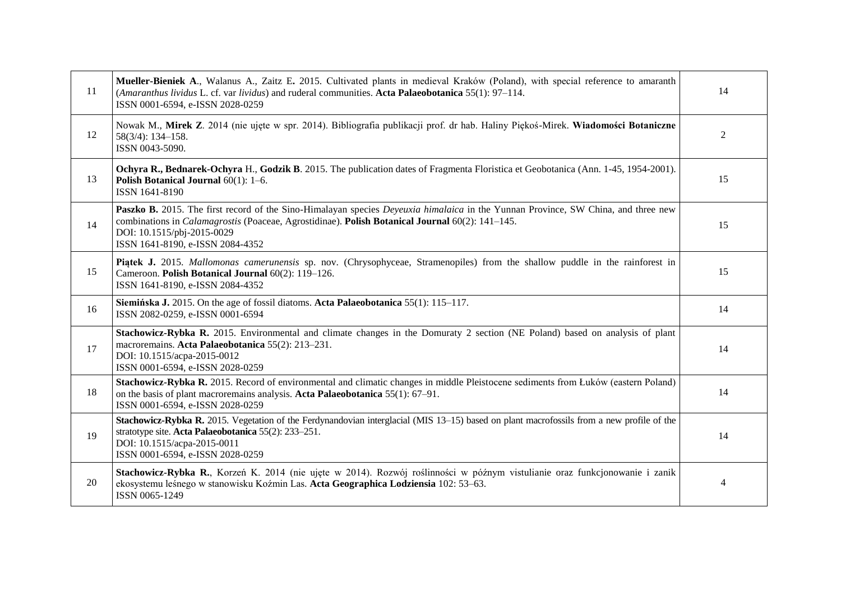| 11 | Mueller-Bieniek A., Walanus A., Zaitz E. 2015. Cultivated plants in medieval Kraków (Poland), with special reference to amaranth<br>(Amaranthus lividus L. cf. var lividus) and ruderal communities. Acta Palaeobotanica 55(1): 97-114.<br>ISSN 0001-6594, e-ISSN 2028-0259                                   |                |
|----|---------------------------------------------------------------------------------------------------------------------------------------------------------------------------------------------------------------------------------------------------------------------------------------------------------------|----------------|
| 12 | Nowak M., Mirek Z. 2014 (nie ujęte w spr. 2014). Bibliografia publikacji prof. dr hab. Haliny Piękoś-Mirek. Wiadomości Botaniczne<br>$58(3/4): 134 - 158.$<br>ISSN 0043-5090.                                                                                                                                 | $\overline{2}$ |
| 13 | Ochyra R., Bednarek-Ochyra H., Godzik B. 2015. The publication dates of Fragmenta Floristica et Geobotanica (Ann. 1-45, 1954-2001).<br>Polish Botanical Journal 60(1): 1-6.<br>ISSN 1641-8190                                                                                                                 | 15             |
| 14 | Paszko B. 2015. The first record of the Sino-Himalayan species Deyeuxia himalaica in the Yunnan Province, SW China, and three new<br>combinations in <i>Calamagrostis</i> (Poaceae, Agrostidinae). Polish Botanical Journal 60(2): 141-145.<br>DOI: 10.1515/pbj-2015-0029<br>ISSN 1641-8190, e-ISSN 2084-4352 | 15             |
| 15 | Piatek J. 2015. Mallomonas camerunensis sp. nov. (Chrysophyceae, Stramenopiles) from the shallow puddle in the rainforest in<br>Cameroon. Polish Botanical Journal 60(2): 119-126.<br>ISSN 1641-8190, e-ISSN 2084-4352                                                                                        | 15             |
| 16 | Siemińska J. 2015. On the age of fossil diatoms. Acta Palaeobotanica 55(1): 115–117.<br>ISSN 2082-0259, e-ISSN 0001-6594                                                                                                                                                                                      | 14             |
| 17 | Stachowicz-Rybka R. 2015. Environmental and climate changes in the Domuraty 2 section (NE Poland) based on analysis of plant<br>macroremains. Acta Palaeobotanica 55(2): 213-231.<br>DOI: 10.1515/acpa-2015-0012<br>ISSN 0001-6594, e-ISSN 2028-0259                                                          | 14             |
| 18 | Stachowicz-Rybka R. 2015. Record of environmental and climatic changes in middle Pleistocene sediments from Łuków (eastern Poland)<br>on the basis of plant macroremains analysis. Acta Palaeobotanica 55(1): 67–91.<br>ISSN 0001-6594, e-ISSN 2028-0259                                                      | 14             |
| 19 | Stachowicz-Rybka R. 2015. Vegetation of the Ferdynandovian interglacial (MIS 13–15) based on plant macrofossils from a new profile of the<br>stratotype site. Acta Palaeobotanica 55(2): 233-251.<br>DOI: 10.1515/acpa-2015-0011<br>ISSN 0001-6594, e-ISSN 2028-0259                                          | 14             |
| 20 | Stachowicz-Rybka R., Korzeń K. 2014 (nie ujęte w 2014). Rozwój roślinności w późnym vistulianie oraz funkcjonowanie i zanik<br>ekosystemu leśnego w stanowisku Koźmin Las. Acta Geographica Lodziensia 102: 53–63.<br>ISSN 0065-1249                                                                          | 4              |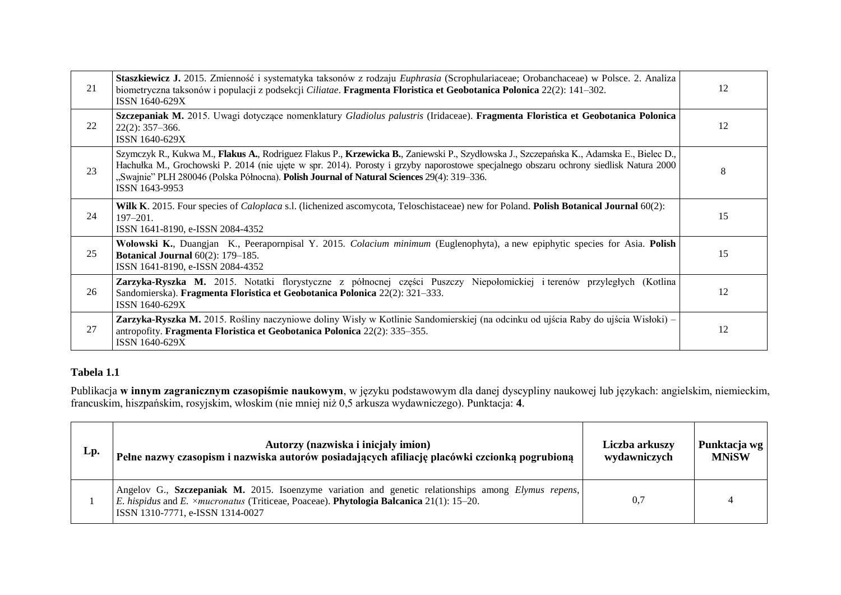| 21 | Staszkiewicz J. 2015. Zmienność i systematyka taksonów z rodzaju Euphrasia (Scrophulariaceae; Orobanchaceae) w Polsce. 2. Analiza<br>biometryczna taksonów i populacji z podsekcji Ciliatae. Fragmenta Floristica et Geobotanica Polonica 22(2): 141–302.<br>ISSN 1640-629X                                                                                                                        | 12 |
|----|----------------------------------------------------------------------------------------------------------------------------------------------------------------------------------------------------------------------------------------------------------------------------------------------------------------------------------------------------------------------------------------------------|----|
| 22 | Szczepaniak M. 2015. Uwagi dotyczące nomenklatury Gladiolus palustris (Iridaceae). Fragmenta Floristica et Geobotanica Polonica<br>$22(2): 357 - 366.$<br>ISSN 1640-629X                                                                                                                                                                                                                           | 12 |
| 23 | Szymczyk R., Kukwa M., Flakus A., Rodriguez Flakus P., Krzewicka B., Zaniewski P., Szydłowska J., Szczepańska K., Adamska E., Bielec D.,<br>Hachułka M., Grochowski P. 2014 (nie ujęte w spr. 2014). Porosty i grzyby naporostowe specjalnego obszaru ochrony siedlisk Natura 2000<br>"Swajnie" PLH 280046 (Polska Północna). Polish Journal of Natural Sciences 29(4): 319–336.<br>ISSN 1643-9953 | 8  |
| 24 | Wilk K. 2015. Four species of <i>Caloplaca s.l.</i> (lichenized ascomycota, Teloschistaceae) new for Poland. Polish Botanical Journal 60(2):<br>$197 - 201.$<br>ISSN 1641-8190, e-ISSN 2084-4352                                                                                                                                                                                                   | 15 |
| 25 | Wołowski K., Duangjan K., Peerapornpisal Y. 2015. Colacium minimum (Euglenophyta), a new epiphytic species for Asia. Polish<br><b>Botanical Journal</b> 60(2): 179-185.<br>ISSN 1641-8190, e-ISSN 2084-4352                                                                                                                                                                                        | 15 |
| 26 | Zarzyka-Ryszka M. 2015. Notatki florystyczne z północnej części Puszczy Niepołomickiej i terenów przyległych (Kotlina<br>Sandomierska). Fragmenta Floristica et Geobotanica Polonica 22(2): 321–333.<br>ISSN 1640-629X                                                                                                                                                                             | 12 |
| 27 | Zarzyka-Ryszka M. 2015. Rośliny naczyniowe doliny Wisły w Kotlinie Sandomierskiej (na odcinku od ujścia Raby do ujścia Wisłoki) –<br>antropofity. Fragmenta Floristica et Geobotanica Polonica 22(2): 335–355.<br>ISSN 1640-629X                                                                                                                                                                   | 12 |

## **Tabela 1.1**

Publikacja **w innym zagranicznym czasopiśmie naukowym**, w języku podstawowym dla danej dyscypliny naukowej lub językach: angielskim, niemieckim, francuskim, hiszpańskim, rosyjskim, włoskim (nie mniej niż 0,5 arkusza wydawniczego). Punktacja: **4**.

| Lp. | Autorzy (nazwiska i inicjały imion)                                                                                                                                                                                                               | Liczba arkuszy | Punktacja wg |
|-----|---------------------------------------------------------------------------------------------------------------------------------------------------------------------------------------------------------------------------------------------------|----------------|--------------|
|     | Pełne nazwy czasopism i nazwiska autorów posiadających afiliację placówki czcionką pogrubioną                                                                                                                                                     | wydawniczych   | <b>MNiSW</b> |
|     | Angelov G., Szczepaniak M. 2015. Isoenzyme variation and genetic relationships among Elymus repens,<br>E. hispidus and E. $\times$ mucronatus (Triticeae, Poaceae). <b>Phytologia Balcanica</b> 21(1): 15–20.<br>ISSN 1310-7771, e-ISSN 1314-0027 | 0.7            |              |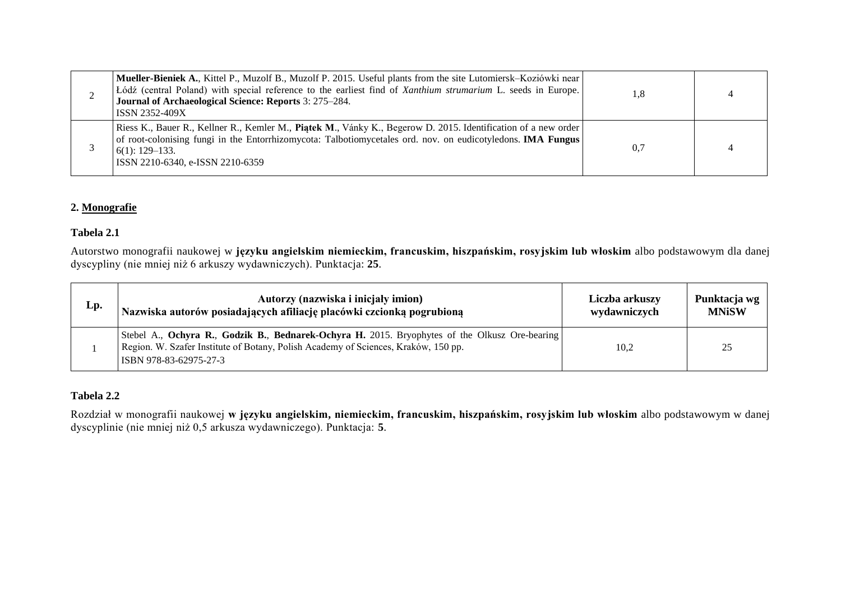| Mueller-Bieniek A., Kittel P., Muzolf B., Muzolf P. 2015. Useful plants from the site Lutomiersk–Koziówki near<br>Łódź (central Poland) with special reference to the earliest find of Xanthium strumarium L. seeds in Europe.<br>Journal of Archaeological Science: Reports 3: 275–284.<br><b>ISSN 2352-409X</b> | 1,8 |                |
|-------------------------------------------------------------------------------------------------------------------------------------------------------------------------------------------------------------------------------------------------------------------------------------------------------------------|-----|----------------|
| Riess K., Bauer R., Kellner R., Kemler M., Piatek M., Vánky K., Begerow D. 2015. Identification of a new order<br>of root-colonising fungi in the Entorrhizomycota: Talbotiomycetales ord. nov. on eudicotyledons. IMA Fungus<br>$6(1)$ : 129–133.<br>ISSN 2210-6340, e-ISSN 2210-6359                            | 0.7 | $\overline{4}$ |

## **2. Monografie**

#### **Tabela 2.1**

Autorstwo monografii naukowej w **języku angielskim niemieckim, francuskim, hiszpańskim, rosyjskim lub włoskim** albo podstawowym dla danej dyscypliny (nie mniej niż 6 arkuszy wydawniczych). Punktacja: **25**.

| Lp. | Autorzy (nazwiska i inicjały imion)                                                                                                                                                                            | Liczba arkuszy | Punktacja wg |
|-----|----------------------------------------------------------------------------------------------------------------------------------------------------------------------------------------------------------------|----------------|--------------|
|     | Nazwiska autorów posiadających afiliację placówki czcionką pogrubioną                                                                                                                                          | wydawniczych   | <b>MNiSW</b> |
|     | Stebel A., Ochyra R., Godzik B., Bednarek-Ochyra H. 2015. Bryophytes of the Olkusz Ore-bearing<br>Region. W. Szafer Institute of Botany, Polish Academy of Sciences, Kraków, 150 pp.<br>ISBN 978-83-62975-27-3 | 10,2           | 25           |

## **Tabela 2.2**

Rozdział w monografii naukowej **w języku angielskim, niemieckim, francuskim, hiszpańskim, rosyjskim lub włoskim** albo podstawowym w danej dyscyplinie (nie mniej niż 0,5 arkusza wydawniczego). Punktacja: **5**.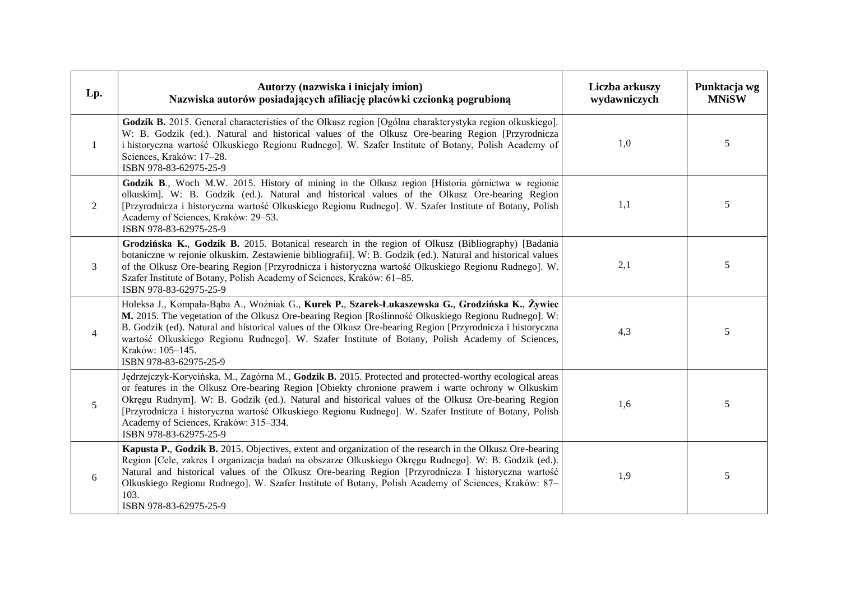| Lp.            | Autorzy (nazwiska i inicjały imion)<br>Nazwiska autorów posiadających afiliację placówki czcionką pogrubioną                                                                                                                                                                                                                                                                                                                                                                                    | Liczba arkuszy<br>wydawniczych | Punktacja wg<br><b>MNiSW</b> |
|----------------|-------------------------------------------------------------------------------------------------------------------------------------------------------------------------------------------------------------------------------------------------------------------------------------------------------------------------------------------------------------------------------------------------------------------------------------------------------------------------------------------------|--------------------------------|------------------------------|
| 1              | Godzik B. 2015. General characteristics of the Olkusz region [Ogólna charakterystyka region olkuskiego].<br>W: B. Godzik (ed.). Natural and historical values of the Olkusz Ore-bearing Region [Przyrodnicza<br>i historyczna wartość Olkuskiego Regionu Rudnego]. W. Szafer Institute of Botany, Polish Academy of<br>Sciences, Kraków: 17-28.<br>ISBN 978-83-62975-25-9                                                                                                                       | 1,0                            | 5                            |
| 2              | Godzik B., Woch M.W. 2015. History of mining in the Olkusz region [Historia górnictwa w regionie<br>olkuskim]. W: B. Godzik (ed.). Natural and historical values of the Olkusz Ore-bearing Region<br>[Przyrodnicza i historyczna wartość Olkuskiego Regionu Rudnego]. W. Szafer Institute of Botany, Polish<br>Academy of Sciences, Kraków: 29-53.<br>ISBN 978-83-62975-25-9                                                                                                                    | 1,1                            | 5                            |
| 3              | Grodzińska K., Godzik B. 2015. Botanical research in the region of Olkusz (Bibliography) [Badania<br>botaniczne w rejonie olkuskim. Zestawienie bibliografii]. W: B. Godzik (ed.). Natural and historical values<br>of the Olkusz Ore-bearing Region [Przyrodnicza i historyczna wartość Olkuskiego Regionu Rudnego]. W.<br>Szafer Institute of Botany, Polish Academy of Sciences, Kraków: 61-85.<br>ISBN 978-83-62975-25-9                                                                    | 2,1                            | $\sqrt{5}$                   |
| $\overline{4}$ | Holeksa J., Kompała-Bąba A., Woźniak G., Kurek P., Szarek-Łukaszewska G., Grodzińska K., Żywiec<br>M. 2015. The vegetation of the Olkusz Ore-bearing Region [Roślinność Olkuskiego Regionu Rudnego]. W:<br>B. Godzik (ed). Natural and historical values of the Olkusz Ore-bearing Region [Przyrodnicza i historyczna<br>wartość Olkuskiego Regionu Rudnego]. W. Szafer Institute of Botany, Polish Academy of Sciences,<br>Kraków: 105-145.<br>ISBN 978-83-62975-25-9                          | 4,3                            | 5                            |
| 5              | Jędrzejczyk-Korycińska, M., Zagórna M., Godzik B. 2015. Protected and protected-worthy ecological areas<br>or features in the Olkusz Ore-bearing Region [Obiekty chronione prawem i warte ochrony w Olkuskim<br>Okręgu Rudnym]. W: B. Godzik (ed.). Natural and historical values of the Olkusz Ore-bearing Region<br>[Przyrodnicza i historyczna wartość Olkuskiego Regionu Rudnego]. W. Szafer Institute of Botany, Polish<br>Academy of Sciences, Kraków: 315-334.<br>ISBN 978-83-62975-25-9 | 1,6                            | 5                            |
| 6              | Kapusta P., Godzik B. 2015. Objectives, extent and organization of the research in the Olkusz Ore-bearing<br>Region [Cele, zakres I organizacja badań na obszarze Olkuskiego Okręgu Rudnego]. W: B. Godzik (ed.).<br>Natural and historical values of the Olkusz Ore-bearing Region [Przyrodnicza I historyczna wartość<br>Olkuskiego Regionu Rudnego]. W. Szafer Institute of Botany, Polish Academy of Sciences, Kraków: 87-<br>103.<br>ISBN 978-83-62975-25-9                                | 1,9                            | 5                            |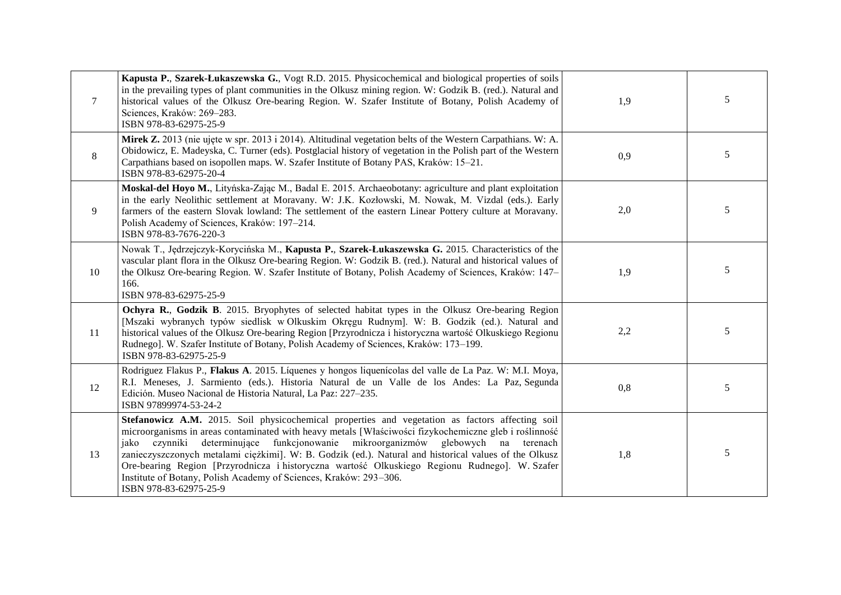| $\tau$ | Kapusta P., Szarek-Łukaszewska G., Vogt R.D. 2015. Physicochemical and biological properties of soils<br>in the prevailing types of plant communities in the Olkusz mining region. W: Godzik B. (red.). Natural and<br>historical values of the Olkusz Ore-bearing Region. W. Szafer Institute of Botany, Polish Academy of<br>Sciences, Kraków: 269-283.<br>ISBN 978-83-62975-25-9                                                                                                                                                                                                                         | 1,9 | 5 |
|--------|-------------------------------------------------------------------------------------------------------------------------------------------------------------------------------------------------------------------------------------------------------------------------------------------------------------------------------------------------------------------------------------------------------------------------------------------------------------------------------------------------------------------------------------------------------------------------------------------------------------|-----|---|
| 8      | Mirek Z. 2013 (nie ujęte w spr. 2013 i 2014). Altitudinal vegetation belts of the Western Carpathians. W: A.<br>Obidowicz, E. Madeyska, C. Turner (eds). Postglacial history of vegetation in the Polish part of the Western<br>Carpathians based on isopollen maps. W. Szafer Institute of Botany PAS, Kraków: 15–21.<br>ISBN 978-83-62975-20-4                                                                                                                                                                                                                                                            | 0,9 | 5 |
| 9      | Moskal-del Hoyo M., Lityńska-Zając M., Badal E. 2015. Archaeobotany: agriculture and plant exploitation<br>in the early Neolithic settlement at Moravany. W: J.K. Kozłowski, M. Nowak, M. Vizdal (eds.). Early<br>farmers of the eastern Slovak lowland: The settlement of the eastern Linear Pottery culture at Moravany.<br>Polish Academy of Sciences, Kraków: 197-214.<br>ISBN 978-83-7676-220-3                                                                                                                                                                                                        | 2,0 | 5 |
| 10     | Nowak T., Jędrzejczyk-Korycińska M., Kapusta P., Szarek-Łukaszewska G. 2015. Characteristics of the<br>vascular plant flora in the Olkusz Ore-bearing Region. W: Godzik B. (red.). Natural and historical values of<br>the Olkusz Ore-bearing Region. W. Szafer Institute of Botany, Polish Academy of Sciences, Kraków: 147–<br>166.<br>ISBN 978-83-62975-25-9                                                                                                                                                                                                                                             | 1,9 | 5 |
| 11     | Ochyra R., Godzik B. 2015. Bryophytes of selected habitat types in the Olkusz Ore-bearing Region<br>[Mszaki wybranych typów siedlisk w Olkuskim Okręgu Rudnym]. W: B. Godzik (ed.). Natural and<br>historical values of the Olkusz Ore-bearing Region [Przyrodnicza i historyczna wartość Olkuskiego Regionu<br>Rudnego]. W. Szafer Institute of Botany, Polish Academy of Sciences, Kraków: 173-199.<br>ISBN 978-83-62975-25-9                                                                                                                                                                             | 2,2 | 5 |
| 12     | Rodriguez Flakus P., Flakus A. 2015. Líquenes y hongos liquenícolas del valle de La Paz. W: M.I. Moya,<br>R.I. Meneses, J. Sarmiento (eds.). Historia Natural de un Valle de los Andes: La Paz, Segunda<br>Edición. Museo Nacional de Historia Natural, La Paz: 227-235.<br>ISBN 97899974-53-24-2                                                                                                                                                                                                                                                                                                           | 0,8 | 5 |
| 13     | Stefanowicz A.M. 2015. Soil physicochemical properties and vegetation as factors affecting soil<br>microorganisms in areas contaminated with heavy metals [Właściwości fizykochemiczne gleb i roślinność<br>determinujące funkcjonowanie mikroorganizmów glebowych na terenach<br>czynniki<br>jako<br>zanieczyszczonych metalami ciężkimi]. W: B. Godzik (ed.). Natural and historical values of the Olkusz<br>Ore-bearing Region [Przyrodnicza i historyczna wartość Olkuskiego Regionu Rudnego]. W. Szafer<br>Institute of Botany, Polish Academy of Sciences, Kraków: 293-306.<br>ISBN 978-83-62975-25-9 | 1,8 | 5 |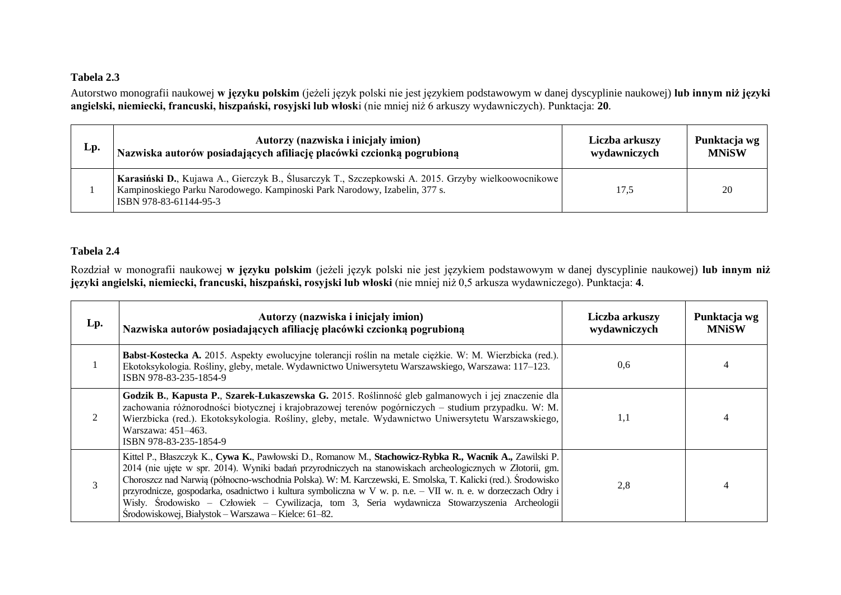## **Tabela 2.3**

Autorstwo monografii naukowej **w języku polskim** (jeżeli język polski nie jest językiem podstawowym w danej dyscyplinie naukowej) **lub innym niż języki angielski, niemiecki, francuski, hiszpański, rosyjski lub włosk**i (nie mniej niż 6 arkuszy wydawniczych). Punktacja: **20**.

| Lp. | Autorzy (nazwiska i inicjały imion)                                                                                                                                                                           | Liczba arkuszy | Punktacja wg |
|-----|---------------------------------------------------------------------------------------------------------------------------------------------------------------------------------------------------------------|----------------|--------------|
|     | Nazwiska autorów posiadających afiliację placówki czcionką pogrubioną                                                                                                                                         | wydawniczych   | <b>MNiSW</b> |
|     | Karasiński D., Kujawa A., Gierczyk B., Ślusarczyk T., Szczepkowski A. 2015. Grzyby wielkoowocnikowe  <br>Kampinoskiego Parku Narodowego. Kampinoski Park Narodowy, Izabelin, 377 s.<br>ISBN 978-83-61144-95-3 | 17.5           | 20           |

## **Tabela 2.4**

Rozdział w monografii naukowej **w języku polskim** (jeżeli język polski nie jest językiem podstawowym w danej dyscyplinie naukowej) **lub innym niż języki angielski, niemiecki, francuski, hiszpański, rosyjski lub włoski** (nie mniej niż 0,5 arkusza wydawniczego). Punktacja: **4**.

| Lp. | Autorzy (nazwiska i inicjały imion)<br>Nazwiska autorów posiadających afiliację placówki czcionką pogrubioną                                                                                                                                                                                                                                                                                                                                                                                                                                                                                                     | Liczba arkuszy<br>wydawniczych | Punktacja wg<br><b>MNiSW</b> |
|-----|------------------------------------------------------------------------------------------------------------------------------------------------------------------------------------------------------------------------------------------------------------------------------------------------------------------------------------------------------------------------------------------------------------------------------------------------------------------------------------------------------------------------------------------------------------------------------------------------------------------|--------------------------------|------------------------------|
|     | Babst-Kostecka A. 2015. Aspekty ewolucyjne tolerancji roślin na metale ciężkie. W: M. Wierzbicka (red.).<br>Ekotoksykologia. Rośliny, gleby, metale. Wydawnictwo Uniwersytetu Warszawskiego, Warszawa: 117-123.<br>ISBN 978-83-235-1854-9                                                                                                                                                                                                                                                                                                                                                                        | 0.6                            |                              |
|     | Godzik B., Kapusta P., Szarek-Łukaszewska G. 2015. Roślinność gleb galmanowych i jej znaczenie dla<br>zachowania różnorodności biotycznej i krajobrazowej terenów pogórniczych – studium przypadku. W: M.<br>Wierzbicka (red.). Ekotoksykologia. Rośliny, gleby, metale. Wydawnictwo Uniwersytetu Warszawskiego,<br>Warszawa: 451–463.<br>ISBN 978-83-235-1854-9                                                                                                                                                                                                                                                 | 1,1                            |                              |
| 3   | Kittel P., Błaszczyk K., Cywa K., Pawłowski D., Romanow M., Stachowicz-Rybka R., Wacnik A., Zawilski P.<br>2014 (nie ujęte w spr. 2014). Wyniki badań przyrodniczych na stanowiskach archeologicznych w Złotorii, gm.<br>Choroszcz nad Narwią (północno-wschodnia Polska). W: M. Karczewski, E. Smolska, T. Kalicki (red.). Środowisko<br>przyrodnicze, gospodarka, osadnictwo i kultura symboliczna w V w. p. n.e. – VII w. n. e. w dorzeczach Odry i<br>Wisły. Środowisko – Człowiek – Cywilizacja, tom 3, Seria wydawnicza Stowarzyszenia Archeologii<br>Środowiskowej, Białystok - Warszawa - Kielce: 61-82. | 2,8                            |                              |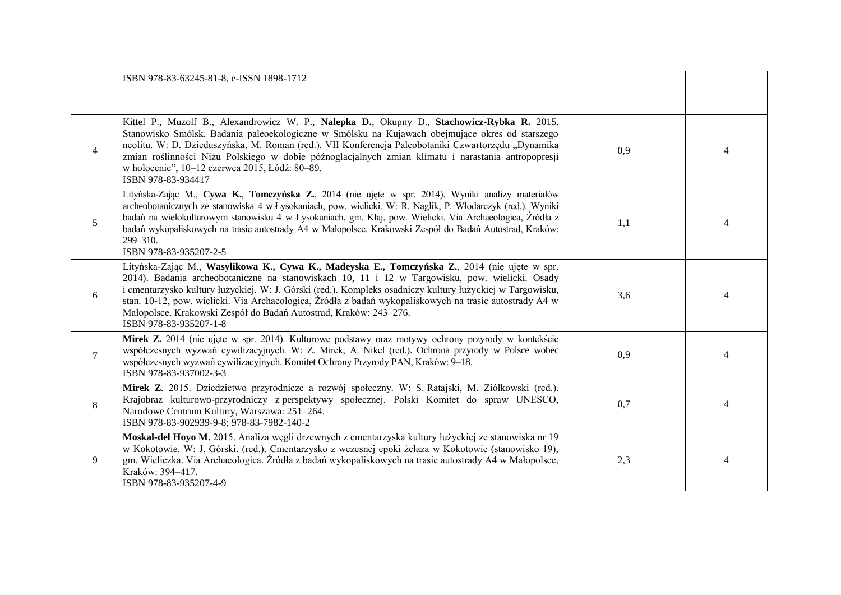|                | ISBN 978-83-63245-81-8, e-ISSN 1898-1712                                                                                                                                                                                                                                                                                                                                                                                                                                                                               |     |                |
|----------------|------------------------------------------------------------------------------------------------------------------------------------------------------------------------------------------------------------------------------------------------------------------------------------------------------------------------------------------------------------------------------------------------------------------------------------------------------------------------------------------------------------------------|-----|----------------|
| $\overline{4}$ | Kittel P., Muzolf B., Alexandrowicz W. P., Nalepka D., Okupny D., Stachowicz-Rybka R. 2015.<br>Stanowisko Smólsk. Badania paleoekologiczne w Smólsku na Kujawach obejmujące okres od starszego<br>neolitu. W: D. Dzieduszyńska, M. Roman (red.). VII Konferencja Paleobotaniki Czwartorzędu "Dynamika<br>zmian roślinności Niżu Polskiego w dobie późnoglacjalnych zmian klimatu i narastania antropopresji<br>w holocenie", 10-12 czerwca 2015, Łódź: 80-89.<br>ISBN 978-83-934417                                    | 0,9 | 4              |
| 5              | Lityńska-Zając M., Cywa K., Tomczyńska Z., 2014 (nie ujęte w spr. 2014). Wyniki analizy materiałów<br>archeobotanicznych ze stanowiska 4 w Łysokaniach, pow. wielicki. W: R. Naglik, P. Włodarczyk (red.). Wyniki<br>badań na wielokulturowym stanowisku 4 w Łysokaniach, gm. Kłaj, pow. Wielicki. Via Archaeologica, Źródła z<br>badań wykopaliskowych na trasie autostrady A4 w Małopolsce. Krakowski Zespół do Badań Autostrad, Kraków:<br>299-310.<br>ISBN 978-83-935207-2-5                                       | 1,1 |                |
| 6              | Lityńska-Zając M., Wasylikowa K., Cywa K., Madeyska E., Tomczyńska Z., 2014 (nie ujęte w spr.<br>2014). Badania archeobotaniczne na stanowiskach 10, 11 i 12 w Targowisku, pow. wielicki. Osady<br>i cmentarzysko kultury łużyckiej. W: J. Górski (red.). Kompleks osadniczy kultury łużyckiej w Targowisku,<br>stan. 10-12, pow. wielicki. Via Archaeologica, Źródła z badań wykopaliskowych na trasie autostrady A4 w<br>Małopolsce. Krakowski Zespół do Badań Autostrad, Kraków: 243–276.<br>ISBN 978-83-935207-1-8 | 3,6 | 4              |
| $\tau$         | Mirek Z. 2014 (nie ujęte w spr. 2014). Kulturowe podstawy oraz motywy ochrony przyrody w kontekście<br>współczesnych wyzwań cywilizacyjnych. W: Z. Mirek, A. Nikel (red.). Ochrona przyrody w Polsce wobec<br>współczesnych wyzwań cywilizacyjnych. Komitet Ochrony Przyrody PAN, Kraków: 9-18.<br>ISBN 978-83-937002-3-3                                                                                                                                                                                              | 0,9 | 4              |
| $8\phantom{.}$ | Mirek Z. 2015. Dziedzictwo przyrodnicze a rozwój społeczny. W: S. Ratajski, M. Ziółkowski (red.).<br>Krajobraz kulturowo-przyrodniczy z perspektywy społecznej. Polski Komitet do spraw UNESCO,<br>Narodowe Centrum Kultury, Warszawa: 251-264.<br>ISBN 978-83-902939-9-8; 978-83-7982-140-2                                                                                                                                                                                                                           | 0,7 | $\overline{4}$ |
| 9              | Moskal-del Hoyo M. 2015. Analiza węgli drzewnych z cmentarzyska kultury łużyckiej ze stanowiska nr 19<br>w Kokotowie. W: J. Górski. (red.). Cmentarzysko z wczesnej epoki żelaza w Kokotowie (stanowisko 19),<br>gm. Wieliczka. Via Archaeologica. Źródła z badań wykopaliskowych na trasie autostrady A4 w Małopolsce,<br>Kraków: 394-417.<br>ISBN 978-83-935207-4-9                                                                                                                                                  | 2,3 | 4              |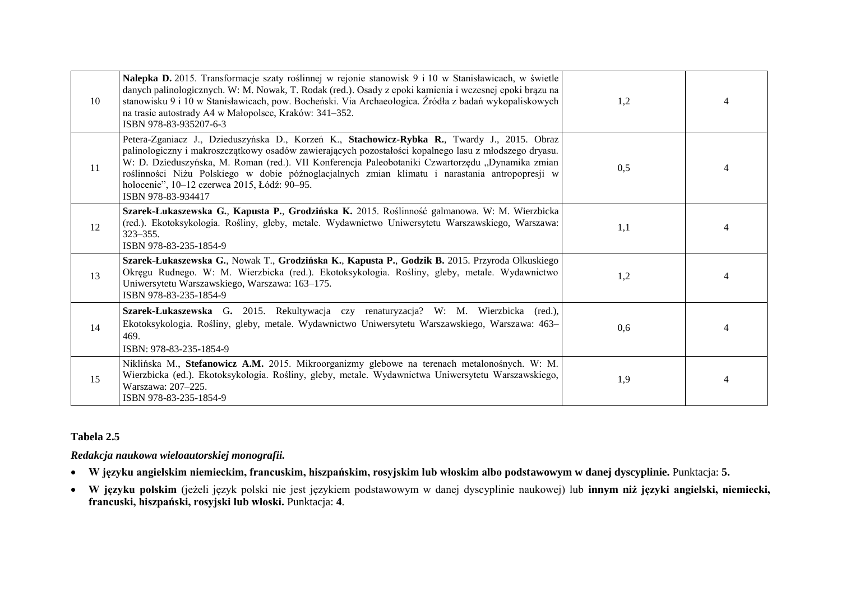| 10 | Nalepka D. 2015. Transformacje szaty roślinnej w rejonie stanowisk 9 i 10 w Stanisławicach, w świetle<br>danych palinologicznych. W: M. Nowak, T. Rodak (red.). Osady z epoki kamienia i wczesnej epoki brązu na<br>stanowisku 9 i 10 w Stanisławicach, pow. Bocheński. Via Archaeologica. Źródła z badań wykopaliskowych<br>na trasie autostrady A4 w Małopolsce, Kraków: 341–352.<br>ISBN 978-83-935207-6-3                                                                     | 1,2 |  |
|----|-----------------------------------------------------------------------------------------------------------------------------------------------------------------------------------------------------------------------------------------------------------------------------------------------------------------------------------------------------------------------------------------------------------------------------------------------------------------------------------|-----|--|
| 11 | Petera-Zganiacz J., Dzieduszyńska D., Korzeń K., Stachowicz-Rybka R., Twardy J., 2015. Obraz<br>palinologiczny i makroszczątkowy osadów zawierających pozostałości kopalnego lasu z młodszego dryasu.<br>W: D. Dzieduszyńska, M. Roman (red.). VII Konferencja Paleobotaniki Czwartorzędu "Dynamika zmian<br>roślinności Niżu Polskiego w dobie późnoglacjalnych zmian klimatu i narastania antropopresji w<br>holocenie", 10-12 czerwca 2015, Łódź: 90-95.<br>ISBN 978-83-934417 | 0,5 |  |
| 12 | Szarek-Łukaszewska G., Kapusta P., Grodzińska K. 2015. Roślinność galmanowa. W: M. Wierzbicka<br>(red.). Ekotoksykologia. Rośliny, gleby, metale. Wydawnictwo Uniwersytetu Warszawskiego, Warszawa:<br>$323 - 355$ .<br>ISBN 978-83-235-1854-9                                                                                                                                                                                                                                    | 1,1 |  |
| 13 | Szarek-Łukaszewska G., Nowak T., Grodzińska K., Kapusta P., Godzik B. 2015. Przyroda Olkuskiego<br>Okręgu Rudnego. W: M. Wierzbicka (red.). Ekotoksykologia. Rośliny, gleby, metale. Wydawnictwo<br>Uniwersytetu Warszawskiego, Warszawa: 163-175.<br>ISBN 978-83-235-1854-9                                                                                                                                                                                                      | 1,2 |  |
| 14 | Szarek-Łukaszewska G. 2015. Rekultywacja czy renaturyzacja? W: M. Wierzbicka (red.),<br>Ekotoksykologia. Rośliny, gleby, metale. Wydawnictwo Uniwersytetu Warszawskiego, Warszawa: 463-<br>469.<br>ISBN: 978-83-235-1854-9                                                                                                                                                                                                                                                        | 0,6 |  |
| 15 | Niklińska M., Stefanowicz A.M. 2015. Mikroorganizmy glebowe na terenach metalonośnych. W: M.<br>Wierzbicka (ed.). Ekotoksykologia. Rośliny, gleby, metale. Wydawnictwa Uniwersytetu Warszawskiego,<br>Warszawa: 207-225.<br>ISBN 978-83-235-1854-9                                                                                                                                                                                                                                | 1,9 |  |

## **Tabela 2.5**

## *Redakcja naukowa wieloautorskiej monografii.*

- **W języku angielskim niemieckim, francuskim, hiszpańskim, rosyjskim lub włoskim albo podstawowym w danej dyscyplinie.** Punktacja: **5.**
- **W języku polskim** (jeżeli język polski nie jest językiem podstawowym w danej dyscyplinie naukowej) lub **innym niż języki angielski, niemiecki, francuski, hiszpański, rosyjski lub włoski.** Punktacja: **4**.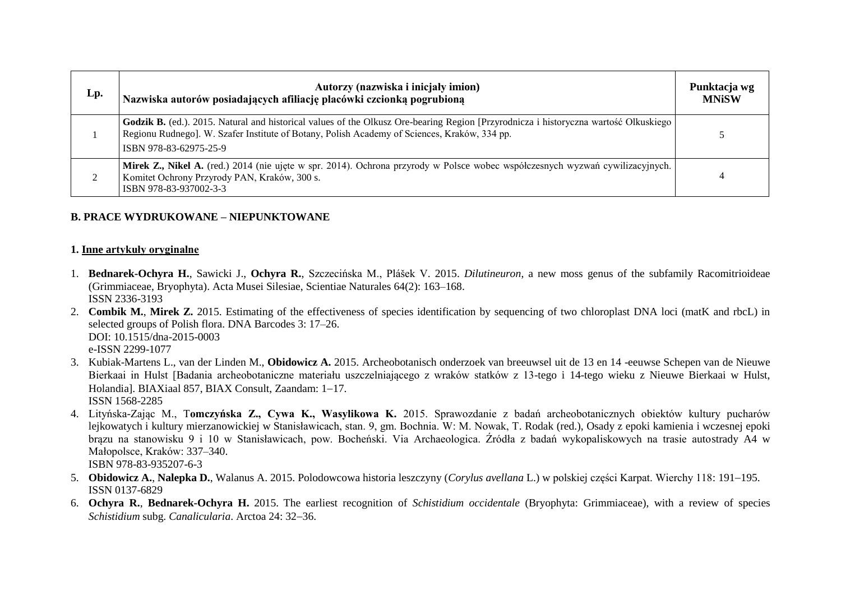| Lp. | Autorzy (nazwiska i inicjały imion)<br>Nazwiska autorów posiadających afiliację placówki czcionką pogrubioną                                                                                                                                                    | Punktacja wg<br><b>MNiSW</b> |
|-----|-----------------------------------------------------------------------------------------------------------------------------------------------------------------------------------------------------------------------------------------------------------------|------------------------------|
|     | Godzik B. (ed.). 2015. Natural and historical values of the Olkusz Ore-bearing Region [Przyrodnicza i historyczna wartość Olkuskiego]<br>Regionu Rudnego]. W. Szafer Institute of Botany, Polish Academy of Sciences, Kraków, 334 pp.<br>ISBN 978-83-62975-25-9 |                              |
|     | Mirek Z., Nikel A. (red.) 2014 (nie ujęte w spr. 2014). Ochrona przyrody w Polsce wobec współczesnych wyzwań cywilizacyjnych.<br>Komitet Ochrony Przyrody PAN, Kraków, 300 s.<br>ISBN 978-83-937002-3-3                                                         |                              |

## **B. PRACE WYDRUKOWANE – NIEPUNKTOWANE**

#### **1. Inne artykuły oryginalne**

- 1. **Bednarek-Ochyra H.**, Sawicki J., **Ochyra R.**, Szczecińska M., Plášek V. 2015. *Dilutineuron*, a new moss genus of the subfamily Racomitrioideae (Grimmiaceae, Bryophyta). Acta Musei Silesiae, Scientiae Naturales 64(2): 163–168. ISSN 2336-3193
- 2. **Combik M.**, **Mirek Z.** 2015. Estimating of the effectiveness of species identification by sequencing of two chloroplast DNA loci (matK and rbcL) in selected groups of Polish flora. DNA Barcodes 3: 17–26. DOI: 10.1515/dna-2015-0003 e-ISSN 2299-1077
- 3. Kubiak-Martens L., van der Linden M., **Obidowicz A.** 2015. Archeobotanisch onderzoek van breeuwsel uit de 13 en 14 -eeuwse Schepen van de Nieuwe Bierkaai in Hulst [Badania archeobotaniczne materiału uszczelniającego z wraków statków z 13-tego i 14-tego wieku z Nieuwe Bierkaai w Hulst, Holandial. BIAXiaal 857, BIAX Consult, Zaandam: 1-17. ISSN 1568-2285
- 4. Lityńska-Zając M., T**omczyńska Z., Cywa K., Wasylikowa K.** 2015. Sprawozdanie z badań archeobotanicznych obiektów kultury pucharów lejkowatych i kultury mierzanowickiej w Stanisławicach, stan. 9, gm. Bochnia. W: M. Nowak, T. Rodak (red.), Osady z epoki kamienia i wczesnej epoki brązu na stanowisku 9 i 10 w Stanisławicach, pow. Bocheński. Via Archaeologica. Źródła z badań wykopaliskowych na trasie autostrady A4 w Małopolsce, Kraków: 337–340. ISBN 978-83-935207-6-3
- 5. **Obidowicz A., Nalepka D.,** Walanus A. 2015. Polodowcowa historia leszczyny (*Corylus avellana* L.) w polskiej części Karpat. Wierchy 118: 191–195. ISSN 0137-6829
- 6. **Ochyra R.**, **Bednarek-Ochyra H.** 2015. The earliest recognition of *Schistidium occidentale* (Bryophyta: Grimmiaceae), with a review of species *Schistidium subg. Canalicularia. Arctoa 24: 32-36.*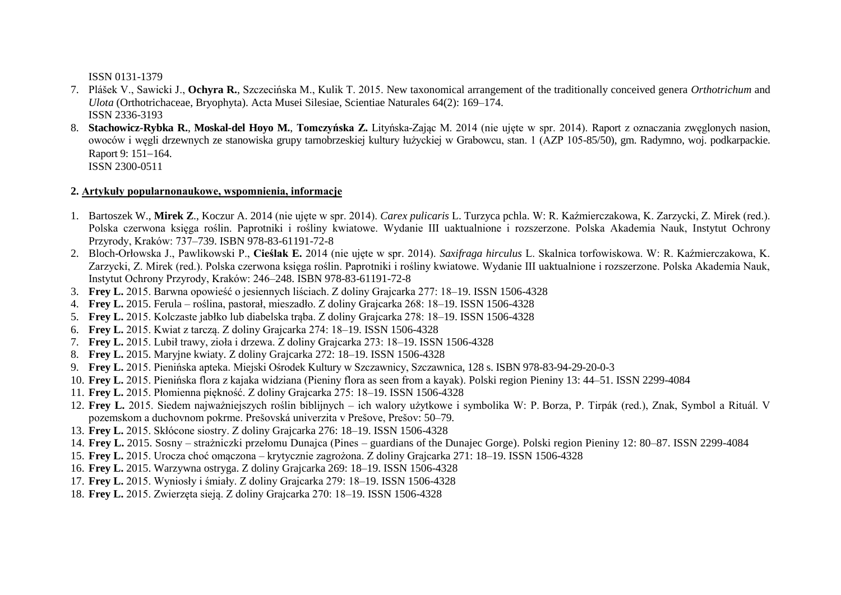ISSN 0131-1379

- 7. Plášek V., Sawicki J., **Ochyra R.**, Szczecińska M., Kulik T. 2015. New taxonomical arrangement of the traditionally conceived genera *Orthotrichum* and *Ulota* (Orthotrichaceae, Bryophyta). Acta Musei Silesiae, Scientiae Naturales 64(2): 169–174. ISSN 2336-3193
- 8. **Stachowicz-Rybka R.**, **Moskal-del Hoyo M.**, **Tomczyńska Z.** Lityńska-Zając M. 2014 (nie ujęte w spr. 2014). Raport z oznaczania zwęglonych nasion, owoców i węgli drzewnych ze stanowiska grupy tarnobrzeskiej kultury łużyckiej w Grabowcu, stan. 1 (AZP 105-85/50), gm. Radymno, woj. podkarpackie. Raport 9: 151-164. ISSN 2300-0511

**2. Artykuły popularnonaukowe, wspomnienia, informacje**

- 1. Bartoszek W., **Mirek Z**., Koczur A. 2014 (nie ujęte w spr. 2014). *Carex pulicaris* L. Turzyca pchla. W: R. Kaźmierczakowa, K. Zarzycki, Z. Mirek (red.). Polska czerwona księga roślin. Paprotniki i rośliny kwiatowe. Wydanie III uaktualnione i rozszerzone. Polska Akademia Nauk, Instytut Ochrony Przyrody, Kraków: 737–739. ISBN 978-83-61191-72-8
- 2. Bloch-Orłowska J., Pawlikowski P., **Cieślak E.** 2014 (nie ujęte w spr. 2014). *Saxifraga hirculus* L. Skalnica torfowiskowa. W: R. Kaźmierczakowa, K. Zarzycki, Z. Mirek (red.). Polska czerwona księga roślin. Paprotniki i rośliny kwiatowe. Wydanie III uaktualnione i rozszerzone. Polska Akademia Nauk, Instytut Ochrony Przyrody, Kraków: 246–248. ISBN 978-83-61191-72-8
- 3. **Frey L.** 2015. Barwna opowieść o jesiennych liściach. Z doliny Grajcarka 277: 18–19. ISSN 1506-4328
- 4. **Frey L.** 2015. Ferula roślina, pastorał, mieszadło. Z doliny Grajcarka 268: 18–19. ISSN 1506-4328
- 5. **Frey L.** 2015. Kolczaste jabłko lub diabelska trąba. Z doliny Grajcarka 278: 18–19. ISSN 1506-4328
- 6. **Frey L.** 2015. Kwiat z tarczą. Z doliny Grajcarka 274: 18–19. ISSN 1506-4328
- 7. **Frey L.** 2015. Lubił trawy, zioła i drzewa. Z doliny Grajcarka 273: 18–19. ISSN 1506-4328
- 8. **Frey L.** 2015. Maryjne kwiaty. Z doliny Grajcarka 272: 18–19. ISSN 1506-4328
- 9. **Frey L.** 2015. Pienińska apteka. Miejski Ośrodek Kultury w Szczawnicy, Szczawnica, 128 s. ISBN 978-83-94-29-20-0-3
- 10. **Frey L.** 2015. Pienińska flora z kajaka widziana (Pieniny flora as seen from a kayak). Polski region Pieniny 13: 44–51. ISSN 2299-4084
- 11. **Frey L.** 2015. Płomienna piękność. Z doliny Grajcarka 275: 18–19. ISSN 1506-4328
- 12. **Frey L.** 2015. Siedem najważniejszych roślin biblijnych ich walory użytkowe i symbolika W: P. Borza, P. Tirpák (red.), Znak, Symbol a Rituál. V pozemskom a duchovnom pokrme. Prešovská univerzita v Prešove, Prešov: 50–79.
- 13. **Frey L.** 2015. Skłócone siostry. Z doliny Grajcarka 276: 18–19. ISSN 1506-4328
- 14. **Frey L.** 2015. Sosny strażniczki przełomu Dunajca (Pines guardians of the Dunajec Gorge). Polski region Pieniny 12: 80–87. ISSN 2299-4084
- 15. **Frey L.** 2015. Urocza choć omączona krytycznie zagrożona. Z doliny Grajcarka 271: 18–19. ISSN 1506-4328
- 16. **Frey L.** 2015. Warzywna ostryga. Z doliny Grajcarka 269: 18–19. ISSN 1506-4328
- 17. **Frey L.** 2015. Wyniosły i śmiały. Z doliny Grajcarka 279: 18–19. ISSN 1506-4328
- 18. **Frey L.** 2015. Zwierzęta sieją. Z doliny Grajcarka 270: 18–19. ISSN 1506-4328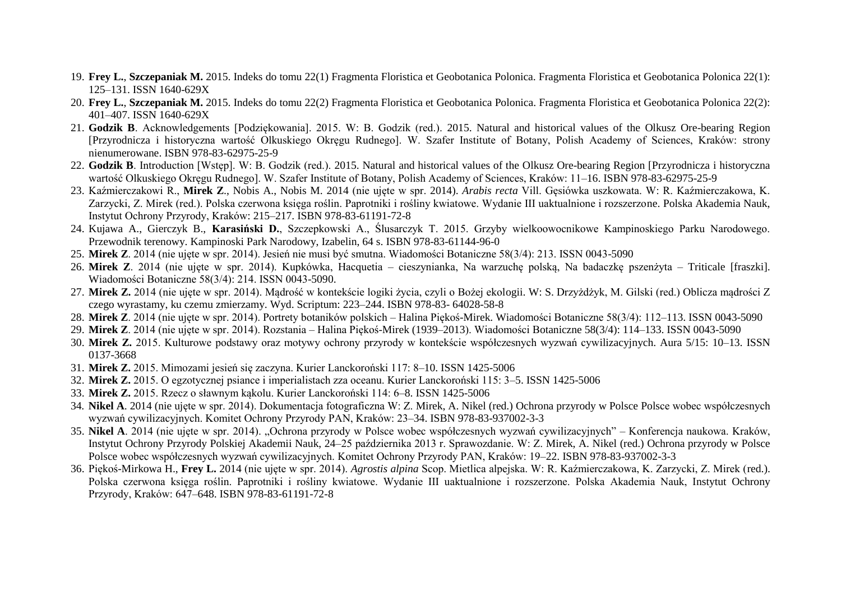- 19. **Frey L.**, **Szczepaniak M.** 2015. Indeks do tomu 22(1) Fragmenta Floristica et Geobotanica Polonica. Fragmenta Floristica et Geobotanica Polonica 22(1): 125–131. ISSN 1640-629X
- 20. **Frey L.**, **Szczepaniak M.** 2015. Indeks do tomu 22(2) Fragmenta Floristica et Geobotanica Polonica. Fragmenta Floristica et Geobotanica Polonica 22(2): 401–407. ISSN 1640-629X
- 21. **Godzik B**. Acknowledgements [Podziękowania]. 2015. W: B. Godzik (red.). 2015. Natural and historical values of the Olkusz Ore-bearing Region [Przyrodnicza i historyczna wartość Olkuskiego Okręgu Rudnego]. W. Szafer Institute of Botany, Polish Academy of Sciences, Kraków: strony nienumerowane. ISBN 978-83-62975-25-9
- 22. **Godzik B**. Introduction [Wstęp]. W: B. Godzik (red.). 2015. Natural and historical values of the Olkusz Ore-bearing Region [Przyrodnicza i historyczna wartość Olkuskiego Okręgu Rudnego]. W. Szafer Institute of Botany, Polish Academy of Sciences, Kraków: 11–16. ISBN 978-83-62975-25-9
- 23. Kaźmierczakowi R., **Mirek Z**., Nobis A., Nobis M. 2014 (nie ujęte w spr. 2014). *Arabis recta* Vill. Gęsiówka uszkowata. W: R. Kaźmierczakowa, K. Zarzycki, Z. Mirek (red.). Polska czerwona księga roślin. Paprotniki i rośliny kwiatowe. Wydanie III uaktualnione i rozszerzone. Polska Akademia Nauk, Instytut Ochrony Przyrody, Kraków: 215–217. ISBN 978-83-61191-72-8
- 24. Kujawa A., Gierczyk B., **Karasiński D.**, Szczepkowski A., Ślusarczyk T. 2015. Grzyby wielkoowocnikowe Kampinoskiego Parku Narodowego. Przewodnik terenowy. Kampinoski Park Narodowy, Izabelin, 64 s. ISBN 978-83-61144-96-0
- 25. **Mirek Z**. 2014 (nie ujęte w spr. 2014). Jesień nie musi być smutna. Wiadomości Botaniczne 58(3/4): 213. ISSN 0043-5090
- 26. **Mirek Z**. 2014 (nie ujęte w spr. 2014). Kupkówka, Hacquetia cieszynianka, Na warzuchę polską, Na badaczkę pszenżyta Triticale [fraszki]. Wiadomości Botaniczne 58(3/4): 214. ISSN 0043-5090.
- 27. **Mirek Z.** 2014 (nie ujęte w spr. 2014). Mądrość w kontekście logiki życia, czyli o Bożej ekologii. W: S. Drzyżdżyk, M. Gilski (red.) Oblicza mądrości Z czego wyrastamy, ku czemu zmierzamy. Wyd. Scriptum: 223–244. ISBN 978-83- 64028-58-8
- 28. **Mirek Z**. 2014 (nie ujęte w spr. 2014). Portrety botaników polskich Halina Piękoś-Mirek. Wiadomości Botaniczne 58(3/4): 112–113. ISSN 0043-5090
- 29. **Mirek Z**. 2014 (nie ujęte w spr. 2014). Rozstania Halina Piękoś-Mirek (1939–2013). Wiadomości Botaniczne 58(3/4): 114–133. ISSN 0043-5090
- 30. **Mirek Z.** 2015. Kulturowe podstawy oraz motywy ochrony przyrody w kontekście współczesnych wyzwań cywilizacyjnych. Aura 5/15: 10–13. ISSN 0137-3668
- 31. **Mirek Z.** 2015. Mimozami jesień się zaczyna. Kurier Lanckoroński 117: 8–10. ISSN 1425-5006
- 32. **Mirek Z.** 2015. O egzotycznej psiance i imperialistach zza oceanu. Kurier Lanckoroński 115: 3–5. ISSN 1425-5006
- 33. **Mirek Z.** 2015. Rzecz o sławnym kąkolu. Kurier Lanckoroński 114: 6–8. ISSN 1425-5006
- 34. **Nikel A**. 2014 (nie ujęte w spr. 2014). Dokumentacja fotograficzna W: Z. Mirek, A. Nikel (red.) Ochrona przyrody w Polsce Polsce wobec współczesnych wyzwań cywilizacyjnych. Komitet Ochrony Przyrody PAN, Kraków: 23–34. ISBN 978-83-937002-3-3
- 35. **Nikel A**. 2014 (nie ujęte w spr. 2014). "Ochrona przyrody w Polsce wobec współczesnych wyzwań cywilizacyjnych" Konferencja naukowa. Kraków, Instytut Ochrony Przyrody Polskiej Akademii Nauk, 24–25 października 2013 r. Sprawozdanie. W: Z. Mirek, A. Nikel (red.) Ochrona przyrody w Polsce Polsce wobec współczesnych wyzwań cywilizacyjnych. Komitet Ochrony Przyrody PAN, Kraków: 19–22. ISBN 978-83-937002-3-3
- 36. Piękoś-Mirkowa H., **Frey L.** 2014 (nie ujęte w spr. 2014). *Agrostis alpina* Scop. Mietlica alpejska. W: R. Kaźmierczakowa, K. Zarzycki, Z. Mirek (red.). Polska czerwona księga roślin. Paprotniki i rośliny kwiatowe. Wydanie III uaktualnione i rozszerzone. Polska Akademia Nauk, Instytut Ochrony Przyrody, Kraków: 647–648. ISBN 978-83-61191-72-8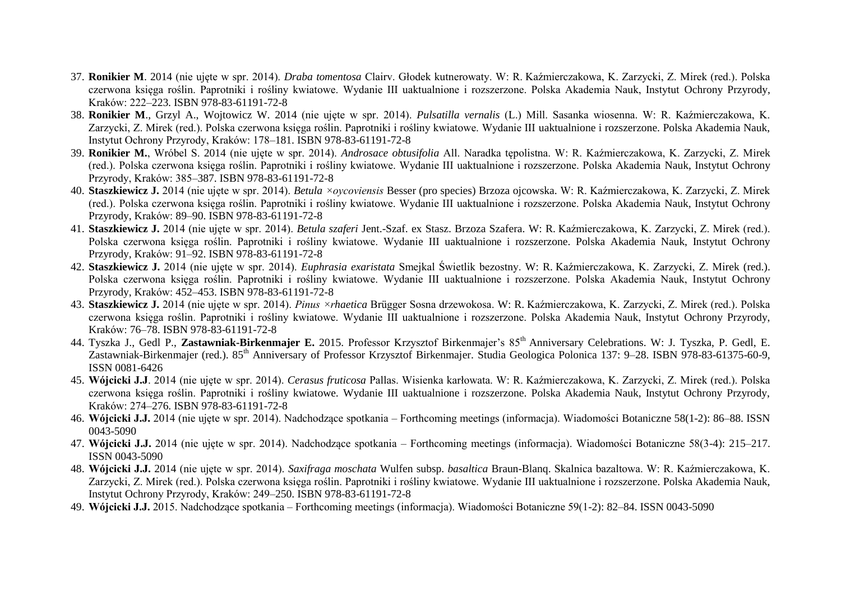- 37. **Ronikier M**. 2014 (nie ujęte w spr. 2014). *Draba tomentosa* Clairv. Głodek kutnerowaty. W: R. Kaźmierczakowa, K. Zarzycki, Z. Mirek (red.). Polska czerwona księga roślin. Paprotniki i rośliny kwiatowe. Wydanie III uaktualnione i rozszerzone. Polska Akademia Nauk, Instytut Ochrony Przyrody, Kraków: 222–223. ISBN 978-83-61191-72-8
- 38. **Ronikier M**., Grzyl A., Wojtowicz W. 2014 (nie ujęte w spr. 2014). *Pulsatilla vernalis* (L.) Mill. Sasanka wiosenna. W: R. Kaźmierczakowa, K. Zarzycki, Z. Mirek (red.). Polska czerwona księga roślin. Paprotniki i rośliny kwiatowe. Wydanie III uaktualnione i rozszerzone. Polska Akademia Nauk, Instytut Ochrony Przyrody, Kraków: 178–181. ISBN 978-83-61191-72-8
- 39. **Ronikier M.**, Wróbel S. 2014 (nie ujęte w spr. 2014). *Androsace obtusifolia* All. Naradka tępolistna. W: R. Kaźmierczakowa, K. Zarzycki, Z. Mirek (red.). Polska czerwona księga roślin. Paprotniki i rośliny kwiatowe. Wydanie III uaktualnione i rozszerzone. Polska Akademia Nauk, Instytut Ochrony Przyrody, Kraków: 385–387. ISBN 978-83-61191-72-8
- 40. **Staszkiewicz J.** 2014 (nie ujęte w spr. 2014). *Betula ×oycoviensis* Besser (pro species) Brzoza ojcowska. W: R. Kaźmierczakowa, K. Zarzycki, Z. Mirek (red.). Polska czerwona księga roślin. Paprotniki i rośliny kwiatowe. Wydanie III uaktualnione i rozszerzone. Polska Akademia Nauk, Instytut Ochrony Przyrody, Kraków: 89–90. ISBN 978-83-61191-72-8
- 41. **Staszkiewicz J.** 2014 (nie ujęte w spr. 2014). *Betula szaferi* Jent.-Szaf. ex Stasz. Brzoza Szafera. W: R. Kaźmierczakowa, K. Zarzycki, Z. Mirek (red.). Polska czerwona księga roślin. Paprotniki i rośliny kwiatowe. Wydanie III uaktualnione i rozszerzone. Polska Akademia Nauk, Instytut Ochrony Przyrody, Kraków: 91–92. ISBN 978-83-61191-72-8
- 42. **Staszkiewicz J.** 2014 (nie ujęte w spr. 2014). *Euphrasia exaristata* Smejkal Świetlik bezostny. W: R. Kaźmierczakowa, K. Zarzycki, Z. Mirek (red.). Polska czerwona księga roślin. Paprotniki i rośliny kwiatowe. Wydanie III uaktualnione i rozszerzone. Polska Akademia Nauk, Instytut Ochrony Przyrody, Kraków: 452–453. ISBN 978-83-61191-72-8
- 43. **Staszkiewicz J.** 2014 (nie ujęte w spr. 2014). *Pinus ×rhaetica* Brügger Sosna drzewokosa. W: R. Kaźmierczakowa, K. Zarzycki, Z. Mirek (red.). Polska czerwona księga roślin. Paprotniki i rośliny kwiatowe. Wydanie III uaktualnione i rozszerzone. Polska Akademia Nauk, Instytut Ochrony Przyrody, Kraków: 76–78. ISBN 978-83-61191-72-8
- 44. Tyszka J., Gedl P., **Zastawniak-Birkenmajer E.** 2015. Professor Krzysztof Birkenmajer's 85th Anniversary Celebrations. W: J. Tyszka, P. Gedl, E. Zastawniak-Birkenmajer (red.). 85<sup>th</sup> Anniversary of Professor Krzysztof Birkenmajer. Studia Geologica Polonica 137: 9–28. ISBN 978-83-61375-60-9, ISSN 0081-6426
- 45. **Wójcicki J.J**. 2014 (nie ujęte w spr. 2014). *Cerasus fruticosa* Pallas. Wisienka karłowata. W: R. Kaźmierczakowa, K. Zarzycki, Z. Mirek (red.). Polska czerwona księga roślin. Paprotniki i rośliny kwiatowe. Wydanie III uaktualnione i rozszerzone. Polska Akademia Nauk, Instytut Ochrony Przyrody, Kraków: 274–276. ISBN 978-83-61191-72-8
- 46. **Wójcicki J.J.** 2014 (nie ujęte w spr. 2014). Nadchodzące spotkania Forthcoming meetings (informacja). Wiadomości Botaniczne 58(1-2): 86–88. ISSN 0043-5090
- 47. **Wójcicki J.J.** 2014 (nie ujęte w spr. 2014). Nadchodzące spotkania Forthcoming meetings (informacja). Wiadomości Botaniczne 58(3-4): 215–217. ISSN 0043-5090
- 48. **Wójcicki J.J.** 2014 (nie ujęte w spr. 2014). *Saxifraga moschata* Wulfen subsp. *basaltica* Braun-Blanq. Skalnica bazaltowa. W: R. Kaźmierczakowa, K. Zarzycki, Z. Mirek (red.). Polska czerwona księga roślin. Paprotniki i rośliny kwiatowe. Wydanie III uaktualnione i rozszerzone. Polska Akademia Nauk, Instytut Ochrony Przyrody, Kraków: 249–250. ISBN 978-83-61191-72-8
- 49. **Wójcicki J.J.** 2015. Nadchodzące spotkania Forthcoming meetings (informacja). Wiadomości Botaniczne 59(1-2): 82–84. ISSN 0043-5090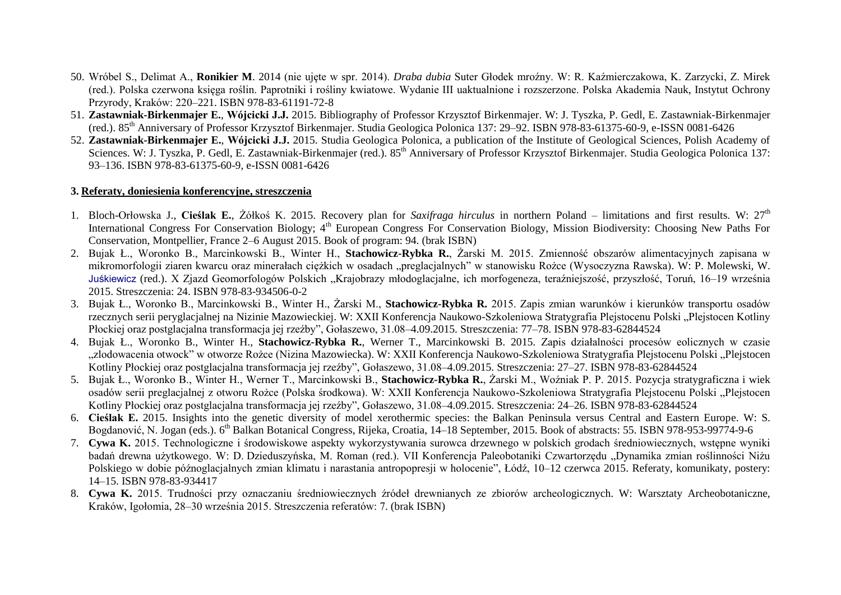- 50. Wróbel S., Delimat A., **Ronikier M**. 2014 (nie ujęte w spr. 2014). *Draba dubia* Suter Głodek mroźny. W: R. Kaźmierczakowa, K. Zarzycki, Z. Mirek (red.). Polska czerwona księga roślin. Paprotniki i rośliny kwiatowe. Wydanie III uaktualnione i rozszerzone. Polska Akademia Nauk, Instytut Ochrony Przyrody, Kraków: 220–221. ISBN 978-83-61191-72-8
- 51. **Zastawniak-Birkenmajer E.**, **Wójcicki J.J.** 2015. Bibliography of Professor Krzysztof Birkenmajer. W: J. Tyszka, P. Gedl, E. Zastawniak-Birkenmajer (red.). 85th Anniversary of Professor Krzysztof Birkenmajer. Studia Geologica Polonica 137: 29–92. ISBN 978-83-61375-60-9, e-ISSN 0081-6426
- 52. **Zastawniak-Birkenmajer E.**, **Wójcicki J.J.** 2015. Studia Geologica Polonica, a publication of the Institute of Geological Sciences, Polish Academy of Sciences. W: J. Tyszka, P. Gedl, E. Zastawniak-Birkenmajer (red.). 85<sup>th</sup> Anniversary of Professor Krzysztof Birkenmajer. Studia Geologica Polonica 137: 93–136. ISBN 978-83-61375-60-9, e-ISSN 0081-6426

#### **3. Referaty, doniesienia konferencyjne, streszczenia**

- 1. Bloch-Orłowska J., **Cieślak E.**, Żółkoś K. 2015. Recovery plan for *Saxifraga hirculus* in northern Poland limitations and first results. W: 27th International Congress For Conservation Biology; 4<sup>th</sup> European Congress For Conservation Biology, Mission Biodiversity: Choosing New Paths For Conservation, Montpellier, France 2–6 August 2015. Book of program: 94. (brak ISBN)
- 2. Bujak Ł., Woronko B., Marcinkowski B., Winter H., **Stachowicz-Rybka R.**, Żarski M. 2015. Zmienność obszarów alimentacyjnych zapisana w mikromorfologii ziaren kwarcu oraz minerałach ciężkich w osadach "preglacjalnych" w stanowisku Rożce (Wysoczyzna Rawska). W: P. Molewski, W. [Juśkiewicz](https://pbn.nauka.gov.pl/persons/3968909/Włodzimierz_Juśkiewicz) (red.). X Zjazd Geomorfologów Polskich "Krajobrazy młodoglacjalne, ich morfogeneza, teraźniejszość, przyszłość, Toruń, 16–19 września 2015. Streszczenia: 24. ISBN 978-83-934506-0-2
- 3. Bujak Ł., Woronko B., Marcinkowski B., Winter H., Żarski M., **Stachowicz-Rybka R.** 2015. Zapis zmian warunków i kierunków transportu osadów rzecznych serii peryglacjalnej na Nizinie Mazowieckiej. W: XXII Konferencja Naukowo-Szkoleniowa Stratygrafia Plejstocenu Polski "Plejstocen Kotliny Płockiej oraz postglacjalna transformacja jej rzeźby", Gołaszewo, 31.08–4.09.2015. Streszczenia: 77–78. ISBN 978-83-62844524
- 4. Bujak Ł., Woronko B., Winter H., **Stachowicz-Rybka R.**, Werner T., Marcinkowski B. 2015. Zapis działalności procesów eolicznych w czasie zlodowacenia otwock" w otworze Rożce (Nizina Mazowiecka). W: XXII Konferencja Naukowo-Szkoleniowa Stratygrafia Plejstocenu Polski "Plejstocen Kotliny Płockiej oraz postglacjalna transformacja jej rzeźby", Gołaszewo, 31.08–4.09.2015. Streszczenia: 27–27. ISBN 978-83-62844524
- 5. Bujak Ł., Woronko B., Winter H., Werner T., Marcinkowski B., **Stachowicz-Rybka R.**, Żarski M., Woźniak P. P. 2015. Pozycja stratygraficzna i wiek osadów serii preglacjalnej z otworu Rożce (Polska środkowa). W: XXII Konferencja Naukowo-Szkoleniowa Stratygrafia Plejstocenu Polski "Plejstocen Kotliny Płockiej oraz postglacjalna transformacja jej rzeźby", Gołaszewo, 31.08–4.09.2015. Streszczenia: 24–26. ISBN 978-83-62844524
- 6. **Cieślak E.** 2015. Insights into the genetic diversity of model xerothermic species: the Balkan Peninsula versus Central and Eastern Europe. W: S. Bogdanović, N. Jogan (eds.). 6<sup>th</sup> Balkan Botanical Congress, Rijeka, Croatia, 14–18 September, 2015. Book of abstracts: 55. ISBN 978-953-99774-9-6
- 7. **Cywa K.** 2015. Technologiczne i środowiskowe aspekty wykorzystywania surowca drzewnego w polskich grodach średniowiecznych, wstępne wyniki badań drewna użytkowego. W: D. Dzieduszyńska, M. Roman (red.). VII Konferencja Paleobotaniki Czwartorzędu "Dynamika zmian roślinności Niżu Polskiego w dobie późnoglacjalnych zmian klimatu i narastania antropopresji w holocenie", Łódź, 10–12 czerwca 2015. Referaty, komunikaty, postery: 14–15. ISBN 978-83-934417
- 8. **Cywa K.** 2015. Trudności przy oznaczaniu średniowiecznych źródeł drewnianych ze zbiorów archeologicznych. W: Warsztaty Archeobotaniczne, Kraków, Igołomia, 28–30 września 2015. Streszczenia referatów: 7. (brak ISBN)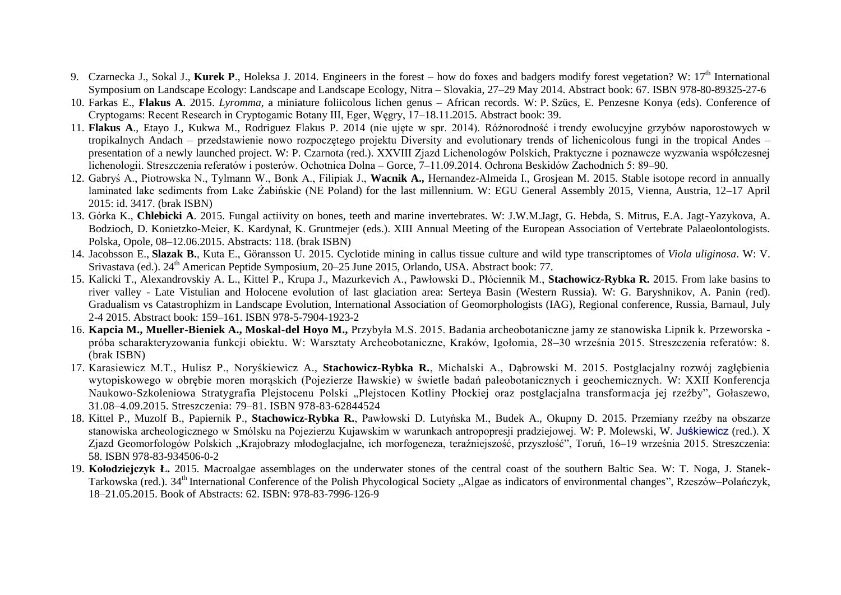- 9. Czarnecka J., Sokal J., **Kurek P.**, Holeksa J. 2014. Engineers in the forest how do foxes and badgers modify forest vegetation? W: 17<sup>th</sup> International Symposium on Landscape Ecology: Landscape and Landscape Ecology, Nitra – Slovakia, 27–29 May 2014. Abstract book: 67. ISBN 978-80-89325-27-6
- 10. Farkas E., **Flakus A**. 2015. *Lyromma*, a miniature foliicolous lichen genus African records. W: P. Szücs, E. Penzesne Konya (eds). Conference of Cryptogams: Recent Research in Cryptogamic Botany III, Eger, Węgry, 17–18.11.2015. Abstract book: 39.
- 11. **Flakus A**., Etayo J., Kukwa M., Rodriguez Flakus P. 2014 (nie ujęte w spr. 2014). Różnorodność i trendy ewolucyjne grzybów naporostowych w tropikalnych Andach – przedstawienie nowo rozpoczętego projektu Diversity and evolutionary trends of lichenicolous fungi in the tropical Andes – presentation of a newly launched project. W: P. Czarnota (red.). XXVIII Zjazd Lichenologów Polskich, Praktyczne i poznawcze wyzwania współczesnej lichenologii. Streszczenia referatów i posterów. Ochotnica Dolna – Gorce, 7–11.09.2014. Ochrona Beskidów Zachodnich 5: 89–90.
- 12. Gabryś A., Piotrowska N., Tylmann W., Bonk A., Filipiak J., **Wacnik A.,** Hernandez-Almeida I., Grosjean M. 2015. Stable isotope record in annually laminated lake sediments from Lake Żabińskie (NE Poland) for the last millennium. W: EGU General Assembly 2015, Vienna, Austria, 12–17 April 2015: id. 3417. (brak ISBN)
- 13. Górka K., **Chlebicki A**. 2015. Fungal actiivity on bones, teeth and marine invertebrates. W: J.W.M.Jagt, G. Hebda, S. Mitrus, E.A. Jagt-Yazykova, A. Bodzioch, D. Konietzko-Meier, K. Kardynał, K. Gruntmejer (eds.). XIII Annual Meeting of the European Association of Vertebrate Palaeolontologists. Polska, Opole, 08–12.06.2015. Abstracts: 118. (brak ISBN)
- 14. Jacobsson E., **Slazak B.**, Kuta E., Göransson U. 2015. Cyclotide mining in callus tissue culture and wild type transcriptomes of *Viola uliginosa*. W: V. Srivastava (ed.). 24<sup>th</sup> American Peptide Symposium, 20–25 June 2015, Orlando, USA. Abstract book: 77.
- 15. Kalicki T., Alexandrovskiy A. L., Kittel P., Krupa J., Mazurkevich A., Pawłowski D., Płóciennik M., **Stachowicz-Rybka R.** 2015. From lake basins to river valley - Late Vistulian and Holocene evolution of last glaciation area: Serteya Basin (Western Russia). W: G. Baryshnikov, A. Panin (red). Gradualism vs Catastrophizm in Landscape Evolution, International Association of Geomorphologists (IAG), Regional conference, Russia, Barnaul, July 2-4 2015. Abstract book: 159–161. ISBN 978-5-7904-1923-2
- 16. **Kapcia M., Mueller-Bieniek A., Moskal-del Hoyo M.,** Przybyła M.S. 2015. Badania archeobotaniczne jamy ze stanowiska Lipnik k. Przeworska próba scharakteryzowania funkcji obiektu. W: Warsztaty Archeobotaniczne, Kraków, Igołomia, 28–30 września 2015. Streszczenia referatów: 8. (brak ISBN)
- 17. Karasiewicz M.T., Hulisz P., Noryśkiewicz A., **Stachowicz-Rybka R.**, Michalski A., Dąbrowski M. 2015. Postglacjalny rozwój zagłębienia wytopiskowego w obrębie moren morąskich (Pojezierze Iławskie) w świetle badań paleobotanicznych i geochemicznych. W: XXII Konferencja Naukowo-Szkoleniowa Stratygrafia Plejstocenu Polski "Plejstocen Kotliny Płockiej oraz postglacjalna transformacja jej rzeźby", Gołaszewo, 31.08–4.09.2015. Streszczenia: 79–81. ISBN 978-83-62844524
- 18. Kittel P., Muzolf B., Papiernik P., **Stachowicz-Rybka R.**, Pawłowski D. Lutyńska M., Budek A., Okupny D. 2015. Przemiany rzeźby na obszarze stanowiska archeologicznego w Smólsku na Pojezierzu Kujawskim w warunkach antropopresji pradziejowej. W: P. Molewski, W. [Juśkiewicz](https://pbn.nauka.gov.pl/persons/3968909/Włodzimierz_Juśkiewicz) (red.). X Zjazd Geomorfologów Polskich "Krajobrazy młodoglacjalne, ich morfogeneza, teraźniejszość, przyszłość", Toruń, 16–19 września 2015. Streszczenia: 58. ISBN 978-83-934506-0-2
- 19. **Kołodziejczyk Ł.** 2015. Macroalgae assemblages on the underwater stones of the central coast of the southern Baltic Sea. W: T. Noga, J. Stanek-Tarkowska (red.). 34<sup>th</sup> International Conference of the Polish Phycological Society "Algae as indicators of environmental changes", Rzeszów–Polańczyk, 18–21.05.2015. Book of Abstracts: 62. ISBN: 978-83-7996-126-9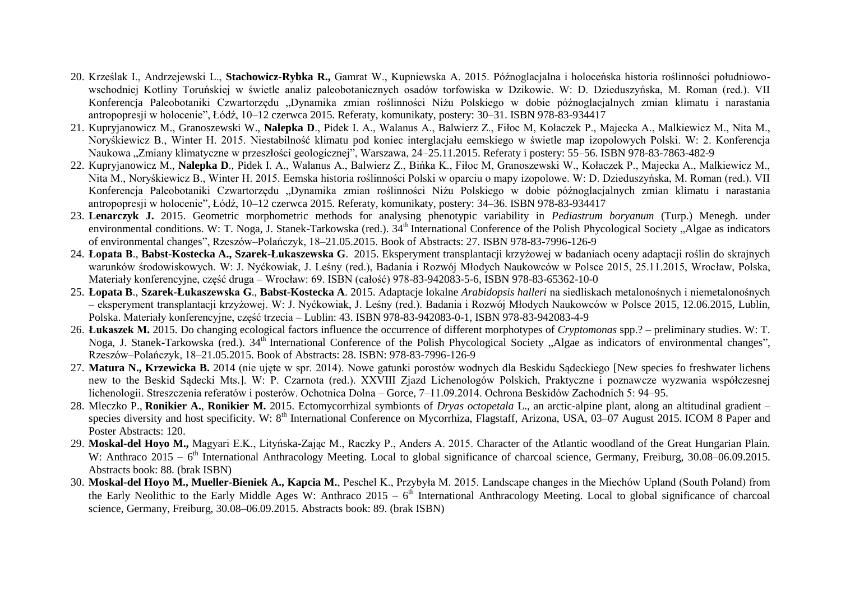- 20. Krześlak I., Andrzejewski L., **Stachowicz-Rybka R.,** Gamrat W., Kupniewska A. 2015. Późnoglacjalna i holoceńska historia roślinności południowowschodniej Kotliny Toruńskiej w świetle analiz paleobotanicznych osadów torfowiska w Dzikowie. W: D. Dzieduszyńska, M. Roman (red.). VII Konferencja Paleobotaniki Czwartorzędu "Dynamika zmian roślinności Niżu Polskiego w dobie późnoglacjalnych zmian klimatu i narastania antropopresji w holocenie", Łódź, 10–12 czerwca 2015. Referaty, komunikaty, postery: 30–31. ISBN 978-83-934417
- 21. Kupryjanowicz M., Granoszewski W., **Nalepka D**., Pidek I. A., Walanus A., Balwierz Z., Fiłoc M, Kołaczek P., Majecka A., Malkiewicz M., Nita M., Noryśkiewicz B., Winter H. 2015. Niestabilność klimatu pod koniec interglacjału eemskiego w świetle map izopolowych Polski. W: 2. Konferencja Naukowa "Zmiany klimatyczne w przeszłości geologicznej", Warszawa, 24–25.11.2015. Referaty i postery: 55–56. ISBN 978-83-7863-482-9
- 22. Kupryjanowicz M., **Nalepka D**., Pidek I. A., Walanus A., Balwierz Z., Bińka K., Fiłoc M, Granoszewski W., Kołaczek P., Majecka A., Malkiewicz M., Nita M., Noryśkiewicz B., Winter H. 2015. Eemska historia roślinności Polski w oparciu o mapy izopolowe. W: D. Dzieduszyńska, M. Roman (red.). VII Konferencja Paleobotaniki Czwartorzędu "Dynamika zmian roślinności Niżu Polskiego w dobie późnoglacjalnych zmian klimatu i narastania antropopresji w holocenie", Łódź, 10–12 czerwca 2015. Referaty, komunikaty, postery: 34–36. ISBN 978-83-934417
- 23. **Lenarczyk J.** 2015. Geometric morphometric methods for analysing phenotypic variability in *Pediastrum boryanum* (Turp.) Menegh. under environmental conditions. W: T. Noga, J. Stanek-Tarkowska (red.).  $34<sup>th</sup>$  International Conference of the Polish Phycological Society . Algae as indicators of environmental changes", Rzeszów–Polańczyk, 18–21.05.2015. Book of Abstracts: 27. ISBN 978-83-7996-126-9
- 24. **Łopata B**., **Babst-Kostecka A., Szarek-Łukaszewska G**. 2015. Eksperyment transplantacji krzyżowej w badaniach oceny adaptacji roślin do skrajnych warunków środowiskowych. W: J. Nyćkowiak, J. Leśny (red.), Badania i Rozwój Młodych Naukowców w Polsce 2015, 25.11.2015, Wrocław, Polska, Materiały konferencyjne, część druga – Wrocław: 69. ISBN (całość) 978-83-942083-5-6, ISBN 978-83-65362-10-0
- 25. **Łopata B**., **Szarek-Łukaszewska G**., **Babst-Kostecka A**. 2015. Adaptacje lokalne *Arabidopsis halleri* na siedliskach metalonośnych i niemetalonośnych – eksperyment transplantacji krzyżowej. W: J. Nyćkowiak, J. Leśny (red.). Badania i Rozwój Młodych Naukowców w Polsce 2015, 12.06.2015, Lublin, Polska. Materiały konferencyjne, część trzecia – Lublin: 43. ISBN 978-83-942083-0-1, ISBN 978-83-942083-4-9
- 26. **Łukaszek M.** 2015. Do changing ecological factors influence the occurrence of different morphotypes of *Cryptomonas* spp.? preliminary studies. W: T. Noga, J. Stanek-Tarkowska (red.). 34<sup>th</sup> International Conference of the Polish Phycological Society "Algae as indicators of environmental changes", Rzeszów–Polańczyk, 18–21.05.2015. Book of Abstracts: 28. ISBN: 978-83-7996-126-9
- 27. **Matura N., Krzewicka B.** 2014 (nie ujęte w spr. 2014). Nowe gatunki porostów wodnych dla Beskidu Sądeckiego [New species fo freshwater lichens new to the Beskid Sądecki Mts.]. W: P. Czarnota (red.). XXVIII Zjazd Lichenologów Polskich, Praktyczne i poznawcze wyzwania współczesnej lichenologii. Streszczenia referatów i posterów. Ochotnica Dolna – Gorce, 7–11.09.2014. Ochrona Beskidów Zachodnich 5: 94–95.
- 28. Mleczko P., **Ronikier A.**, **Ronikier M.** 2015. Ectomycorrhizal symbionts of *Dryas octopetala* L., an arctic-alpine plant, along an altitudinal gradient species diversity and host specificity. W: 8<sup>th</sup> International Conference on Mycorrhiza, Flagstaff, Arizona, USA, 03–07 August 2015. ICOM 8 Paper and Poster Abstracts: 120.
- 29. **Moskal-del Hoyo M.,** Magyari E.K., Lityńska-Zając M., Raczky P., Anders A. 2015. Character of the Atlantic woodland of the Great Hungarian Plain. W: Anthraco 2015 – 6<sup>th</sup> International Anthracology Meeting. Local to global significance of charcoal science, Germany, Freiburg, 30.08–06.09.2015. Abstracts book: 88. (brak ISBN)
- 30. **Moskal-del Hoyo M., Mueller-Bieniek A., Kapcia M.**, Peschel K., Przybyła M. 2015. Landscape changes in the Miechów Upland (South Poland) from the Early Neolithic to the Early Middle Ages W: Anthraco 2015 –  $6<sup>th</sup>$  International Anthracology Meeting. Local to global significance of charcoal science, Germany, Freiburg, 30.08–06.09.2015. Abstracts book: 89. (brak ISBN)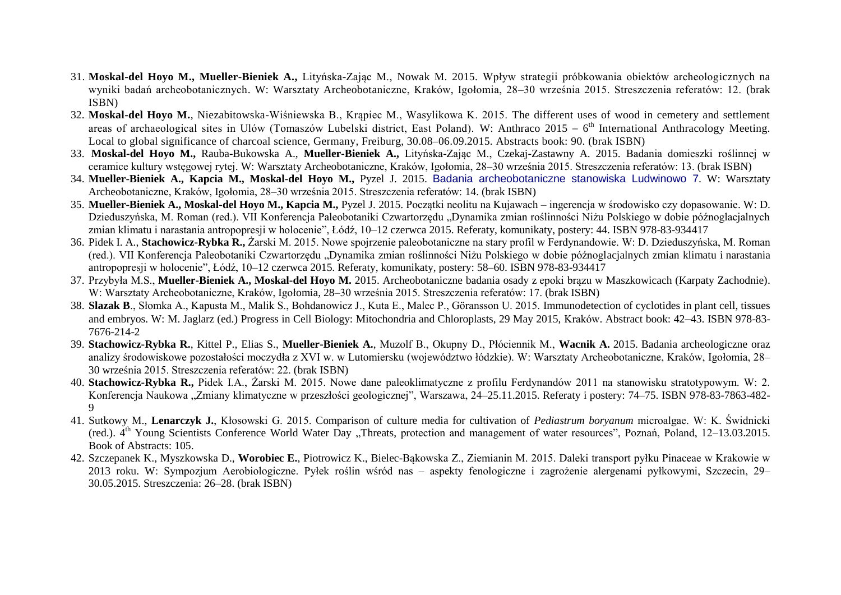- 31. **Moskal-del Hoyo M., Mueller-Bieniek A.,** Lityńska-Zając M., Nowak M. 2015. Wpływ strategii próbkowania obiektów archeologicznych na wyniki badań archeobotanicznych. W: Warsztaty Archeobotaniczne, Kraków, Igołomia, 28–30 września 2015. Streszczenia referatów: 12. (brak ISBN)
- 32. **Moskal-del Hoyo M.**, Niezabitowska-Wiśniewska B., Krąpiec M., Wasylikowa K. 2015. The different uses of wood in cemetery and settlement areas of archaeological sites in Ulów (Tomaszów Lubelski district, East Poland). W: Anthraco 2015 - 6<sup>th</sup> International Anthracology Meeting. Local to global significance of charcoal science, Germany, Freiburg, 30.08–06.09.2015. Abstracts book: 90. (brak ISBN)
- 33. **Moskal-del Hoyo M.,** Rauba-Bukowska A., **Mueller-Bieniek A.,** Lityńska-Zając M., Czekaj-Zastawny A. 2015. Badania domieszki roślinnej w ceramice kultury wstęgowej rytej. W: Warsztaty Archeobotaniczne, Kraków, Igołomia, 28–30 września 2015. Streszczenia referatów: 13. (brak ISBN)
- 34. **Mueller-Bieniek A., Kapcia M., Moskal-del Hoyo M.,** Pyzel J. 2015. Badania [archeobotaniczne](https://pbn.nauka.gov.pl/works/641492) stanowiska Ludwinowo 7. W: Warsztaty Archeobotaniczne, Kraków, Igołomia, 28–30 września 2015. Streszczenia referatów: 14. (brak ISBN)
- 35. **Mueller-Bieniek A., Moskal-del Hoyo M., Kapcia M.,** Pyzel J. 2015. Początki neolitu na Kujawach ingerencja w środowisko czy dopasowanie. W: D. Dzieduszyńska, M. Roman (red.). VII Konferencja Paleobotaniki Czwartorzędu "Dynamika zmian roślinności Niżu Polskiego w dobie późnoglacjalnych zmian klimatu i narastania antropopresji w holocenie", Łódź, 10–12 czerwca 2015. Referaty, komunikaty, postery: 44. ISBN 978-83-934417
- 36. Pidek I. A., **Stachowicz-Rybka R.,** Żarski M. 2015. Nowe spojrzenie paleobotaniczne na stary profil w Ferdynandowie. W: D. Dzieduszyńska, M. Roman (red.). VII Konferencja Paleobotaniki Czwartorzędu "Dynamika zmian roślinności Niżu Polskiego w dobie późnoglacjalnych zmian klimatu i narastania antropopresji w holocenie", Łódź, 10–12 czerwca 2015. Referaty, komunikaty, postery: 58–60. ISBN 978-83-934417
- 37. Przybyła M.S., **Mueller-Bieniek A., Moskal-del Hoyo M.** 2015. Archeobotaniczne badania osady z epoki brązu w Maszkowicach (Karpaty Zachodnie). W: Warsztaty Archeobotaniczne, Kraków, Igołomia, 28–30 września 2015. Streszczenia referatów: 17. (brak ISBN)
- 38. **Slazak B**., Słomka A., Kapusta M., Malik S., Bohdanowicz J., Kuta E., Malec P., Göransson U. 2015. Immunodetection of cyclotides in plant cell, tissues and embryos. W: M. Jaglarz (ed.) Progress in Cell Biology: Mitochondria and Chloroplasts, 29 May 2015, Kraków. Abstract book: 42–43. ISBN 978-83- 7676-214-2
- 39. **Stachowicz-Rybka R.**, Kittel P., Elias S., **Mueller-Bieniek A.**, Muzolf B., Okupny D., Płóciennik M., **Wacnik A.** 2015. Badania archeologiczne oraz analizy środowiskowe pozostałości moczydła z XVI w. w Lutomiersku (województwo łódzkie). W: Warsztaty Archeobotaniczne, Kraków, Igołomia, 28– 30 września 2015. Streszczenia referatów: 22. (brak ISBN)
- 40. **Stachowicz-Rybka R.,** Pidek I.A., Żarski M. 2015. Nowe dane paleoklimatyczne z profilu Ferdynandów 2011 na stanowisku stratotypowym. W: 2. Konferencja Naukowa "Zmiany klimatyczne w przeszłości geologicznej", Warszawa, 24–25.11.2015. Referaty i postery: 74–75. ISBN 978-83-7863-482- $\mathbf Q$
- 41. Sutkowy M., **Lenarczyk J.**, Kłosowski G. 2015. Comparison of culture media for cultivation of *Pediastrum boryanum* microalgae. W: K. Świdnicki (red.).  $4<sup>th</sup>$  Young Scientists Conference World Water Day "Threats, protection and management of water resources", Poznań, Poland, 12–13.03.2015. Book of Abstracts: 105.
- 42. Szczepanek K., Myszkowska D., **Worobiec E.**, Piotrowicz K., Bielec-Bąkowska Z., Ziemianin M. 2015. Daleki transport pyłku Pinaceae w Krakowie w 2013 roku. W: Sympozjum Aerobiologiczne. Pyłek roślin wśród nas – aspekty fenologiczne i zagrożenie alergenami pyłkowymi, Szczecin, 29– 30.05.2015. Streszczenia: 26–28. (brak ISBN)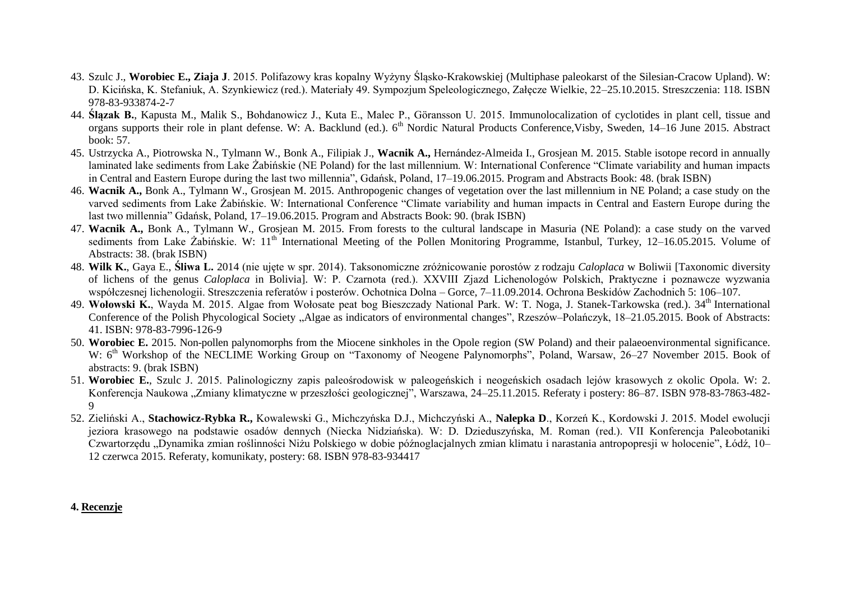- 43. Szulc J., **Worobiec E., Ziaja J**. 2015. Polifazowy kras kopalny Wyżyny Śląsko-Krakowskiej (Multiphase paleokarst of the Silesian-Cracow Upland). W: D. Kicińska, K. Stefaniuk, A. Szynkiewicz (red.). Materiały 49. Sympozjum Speleologicznego, Załęcze Wielkie, 22–25.10.2015. Streszczenia: 118. ISBN 978-83-933874-2-7
- 44. **Ślązak B.**, Kapusta M., Malik S., Bohdanowicz J., Kuta E., Malec P., Göransson U. 2015. Immunolocalization of cyclotides in plant cell, tissue and organs supports their role in plant defense. W: A. Backlund (ed.). 6<sup>th</sup> Nordic Natural Products Conference, Visby, Sweden, 14–16 June 2015. Abstract book: 57.
- 45. Ustrzycka A., Piotrowska N., Tylmann W., Bonk A., Filipiak J., **Wacnik A.,** Hernández-Almeida I., Grosjean M. 2015. Stable isotope record in annually laminated lake sediments from Lake Żabińskie (NE Poland) for the last millennium. W: International Conference "Climate variability and human impacts in Central and Eastern Europe during the last two millennia", Gdańsk, Poland, 17–19.06.2015. Program and Abstracts Book: 48. (brak ISBN)
- 46. **Wacnik A.,** Bonk A., Tylmann W., Grosjean M. 2015. Anthropogenic changes of vegetation over the last millennium in NE Poland; a case study on the varved sediments from Lake Żabińskie. W: International Conference "Climate variability and human impacts in Central and Eastern Europe during the last two millennia" Gdańsk, Poland, 17–19.06.2015. Program and Abstracts Book: 90. (brak ISBN)
- 47. **Wacnik A.,** Bonk A., Tylmann W., Grosjean M. 2015. From forests to the cultural landscape in Masuria (NE Poland): a case study on the varved sediments from Lake Zabińskie. W: 11<sup>th</sup> International Meeting of the Pollen Monitoring Programme, Istanbul, Turkey, 12–16.05.2015. Volume of Abstracts: 38. (brak ISBN)
- 48. **Wilk K.**, Gaya E., **Śliwa L.** 2014 (nie ujęte w spr. 2014). Taksonomiczne zróżnicowanie porostów z rodzaju *Caloplaca* w Boliwii [Taxonomic diversity of lichens of the genus *Caloplaca* in Bolivia]. W: P. Czarnota (red.). XXVIII Zjazd Lichenologów Polskich, Praktyczne i poznawcze wyzwania współczesnej lichenologii. Streszczenia referatów i posterów. Ochotnica Dolna – Gorce, 7–11.09.2014. Ochrona Beskidów Zachodnich 5: 106–107.
- 49. Wołowski K., Wayda M. 2015. Algae from Wołosate peat bog Bieszczady National Park. W: T. Noga, J. Stanek-Tarkowska (red.). 34<sup>th</sup> International Conference of the Polish Phycological Society "Algae as indicators of environmental changes", Rzeszów–Polańczyk, 18–21.05.2015. Book of Abstracts: 41. ISBN: 978-83-7996-126-9
- 50. **Worobiec E.** 2015. Non-pollen palynomorphs from the Miocene sinkholes in the Opole region (SW Poland) and their palaeoenvironmental significance. W: 6<sup>th</sup> Workshop of the NECLIME Working Group on "Taxonomy of Neogene Palynomorphs", Poland, Warsaw, 26–27 November 2015. Book of abstracts: 9. (brak ISBN)
- 51. **Worobiec E.**, Szulc J. 2015. Palinologiczny zapis paleośrodowisk w paleogeńskich i neogeńskich osadach lejów krasowych z okolic Opola. W: 2. Konferencja Naukowa "Zmiany klimatyczne w przeszłości geologicznej", Warszawa, 24–25.11.2015. Referaty i postery: 86–87. ISBN 978-83-7863-482-9
- 52. Zieliński A., **Stachowicz-Rybka R.,** Kowalewski G., Michczyńska D.J., Michczyński A., **Nalepka D**., Korzeń K., Kordowski J. 2015. Model ewolucji jeziora krasowego na podstawie osadów dennych (Niecka Nidziańska). W: D. Dzieduszyńska, M. Roman (red.). VII Konferencja Paleobotaniki Czwartorzędu "Dynamika zmian roślinności Niżu Polskiego w dobie późnoglacjalnych zmian klimatu i narastania antropopresji w holocenie", Łódź, 10– 12 czerwca 2015. Referaty, komunikaty, postery: 68. ISBN 978-83-934417

#### **4. Recenzje**